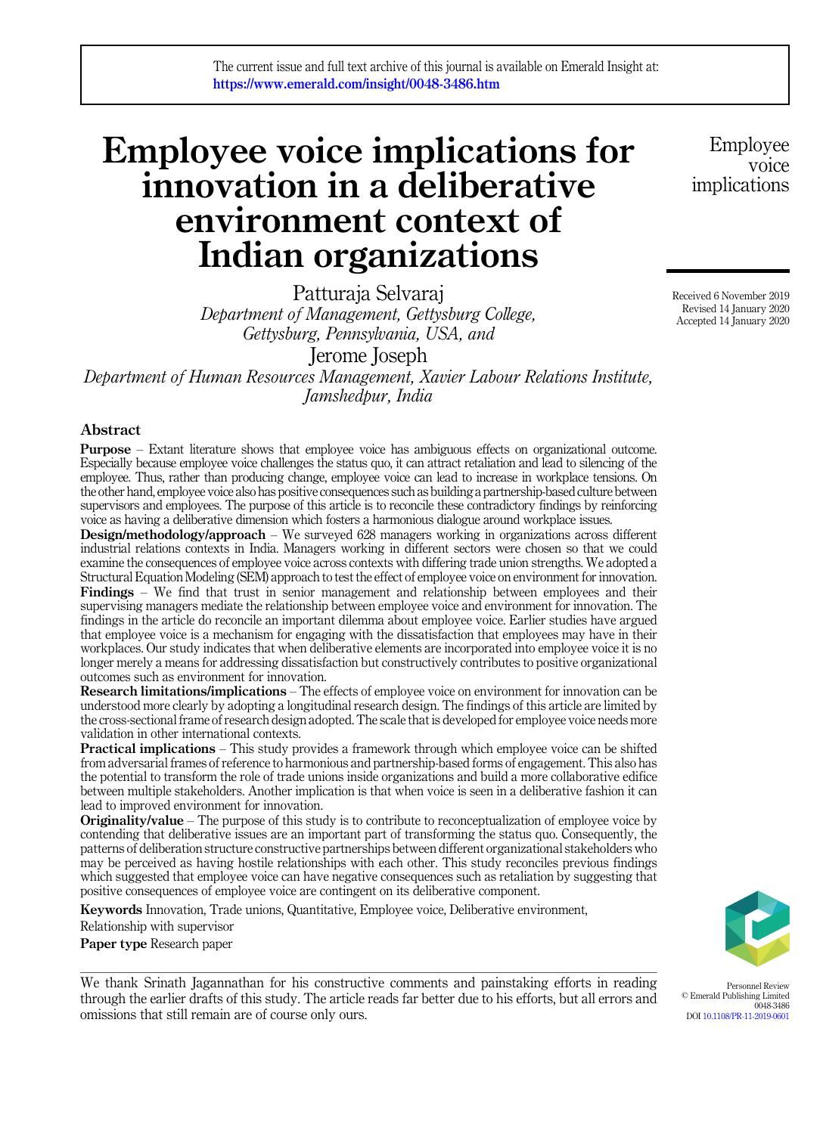# Employee voice implications for innovation in a deliberative environment context of Indian organizations

Patturaja Selvaraj *Department of Management, Gettysburg College, Gettysburg, Pennsylvania, USA, and*

Jerome Joseph

*Department of Human Resources Management, Xavier Labour Relations Institute, Jamshedpur, India*

### Abstract

Purpose – Extant literature shows that employee voice has ambiguous effects on organizational outcome. Especially because employee voice challenges the status quo, it can attract retaliation and lead to silencing of the employee. Thus, rather than producing change, employee voice can lead to increase in workplace tensions. On the other hand, employee voice also has positive consequences such as building a partnership-based culture between supervisors and employees. The purpose of this article is to reconcile these contradictory findings by reinforcing voice as having a deliberative dimension which fosters a harmonious dialogue around workplace issues.

Design/methodology/approach – We surveyed 628 managers working in organizations across different industrial relations contexts in India. Managers working in different sectors were chosen so that we could examine the consequences of employee voice across contexts with differing trade union strengths. We adopted a Structural Equation Modeling (SEM) approach to test the effect of employee voice on environment for innovation. Findings – We find that trust in senior management and relationship between employees and their supervising managers mediate the relationship between employee voice and environment for innovation. The findings in the article do reconcile an important dilemma about employee voice. Earlier studies have argued that employee voice is a mechanism for engaging with the dissatisfaction that employees may have in their workplaces. Our study indicates that when deliberative elements are incorporated into employee voice it is no longer merely a means for addressing dissatisfaction but constructively contributes to positive organizational outcomes such as environment for innovation.

Research limitations/implications – The effects of employee voice on environment for innovation can be understood more clearly by adopting a longitudinal research design. The findings of this article are limited by the cross-sectional frame of research design adopted. The scale that is developed for employee voice needs more validation in other international contexts.

**Practical implications** – This study provides a framework through which employee voice can be shifted from adversarial frames of reference to harmonious and partnership-based forms of engagement. This also has the potential to transform the role of trade unions inside organizations and build a more collaborative edifice between multiple stakeholders. Another implication is that when voice is seen in a deliberative fashion it can lead to improved environment for innovation.

**Originality/value** – The purpose of this study is to contribute to reconceptualization of employee voice by contending that deliberative issues are an important part of transforming the status quo. Consequently, the patterns of deliberation structure constructive partnerships between different organizational stakeholders who may be perceived as having hostile relationships with each other. This study reconciles previous findings which suggested that employee voice can have negative consequences such as retaliation by suggesting that positive consequences of employee voice are contingent on its deliberative component.

Keywords Innovation, Trade unions, Quantitative, Employee voice, Deliberative environment,

Relationship with supervisor

Paper type Research paper

We thank Srinath Jagannathan for his constructive comments and painstaking efforts in reading through the earlier drafts of this study. The article reads far better due to his efforts, but all errors and omissions that still remain are of course only ours.

Personnel Review © Emerald Publishing Limited 0048-3486 DOI 10.1108/PR-11-2019-0601

Received 6 November 2019 Revised 14 January 2020 Accepted 14 January 2020

Employee voice

implications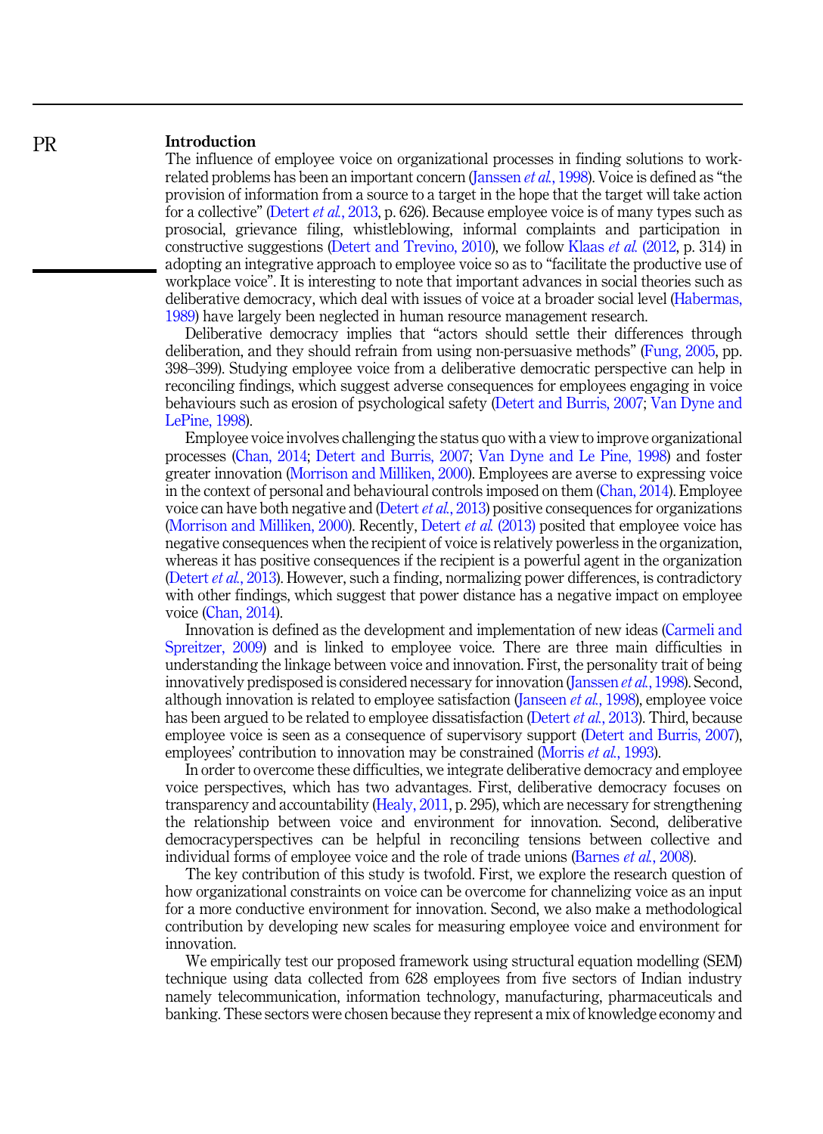## Introduction

The influence of employee voice on organizational processes in finding solutions to workrelated problems has been an important concern (Janssen *et al.*, 1998). Voice is defined as "the provision of information from a source to a target in the hope that the target will take action for a collective" (Detert *et al.*, 2013, p. 626). Because employee voice is of many types such as prosocial, grievance filing, whistleblowing, informal complaints and participation in constructive suggestions (Detert and Trevino, 2010), we follow Klaas *et al.* (2012, p. 314) in adopting an integrative approach to employee voice so as to "facilitate the productive use of workplace voice". It is interesting to note that important advances in social theories such as deliberative democracy, which deal with issues of voice at a broader social level (Habermas, 1989) have largely been neglected in human resource management research.

Deliberative democracy implies that "actors should settle their differences through deliberation, and they should refrain from using non-persuasive methods" (Fung, 2005, pp. 398–399). Studying employee voice from a deliberative democratic perspective can help in reconciling findings, which suggest adverse consequences for employees engaging in voice behaviours such as erosion of psychological safety (Detert and Burris, 2007; Van Dyne and LePine, 1998).

Employee voice involves challenging the status quo with a view to improve organizational processes (Chan, 2014; Detert and Burris, 2007; Van Dyne and Le Pine, 1998) and foster greater innovation (Morrison and Milliken, 2000). Employees are averse to expressing voice in the context of personal and behavioural controls imposed on them (Chan, 2014). Employee voice can have both negative and (Detert *et al.*, 2013) positive consequences for organizations (Morrison and Milliken, 2000). Recently, Detert *et al.* (2013) posited that employee voice has negative consequences when the recipient of voice is relatively powerless in the organization, whereas it has positive consequences if the recipient is a powerful agent in the organization (Detert *et al.*, 2013). However, such a finding, normalizing power differences, is contradictory with other findings, which suggest that power distance has a negative impact on employee voice (Chan, 2014).

Innovation is defined as the development and implementation of new ideas (Carmeli and Spreitzer, 2009) and is linked to employee voice. There are three main difficulties in understanding the linkage between voice and innovation. First, the personality trait of being innovatively predisposed is considered necessary for innovation (Janssen *et al.*, 1998). Second, although innovation is related to employee satisfaction (Janseen *et al.*, 1998), employee voice has been argued to be related to employee dissatisfaction (Detert *et al.*, 2013). Third, because employee voice is seen as a consequence of supervisory support (Detert and Burris, 2007), employees' contribution to innovation may be constrained (Morris *et al.*, 1993).

In order to overcome these difficulties, we integrate deliberative democracy and employee voice perspectives, which has two advantages. First, deliberative democracy focuses on transparency and accountability (Healy, 2011, p. 295), which are necessary for strengthening the relationship between voice and environment for innovation. Second, deliberative democracyperspectives can be helpful in reconciling tensions between collective and individual forms of employee voice and the role of trade unions (Barnes *et al.*, 2008).

The key contribution of this study is twofold. First, we explore the research question of how organizational constraints on voice can be overcome for channelizing voice as an input for a more conductive environment for innovation. Second, we also make a methodological contribution by developing new scales for measuring employee voice and environment for innovation.

We empirically test our proposed framework using structural equation modelling (SEM) technique using data collected from 628 employees from five sectors of Indian industry namely telecommunication, information technology, manufacturing, pharmaceuticals and banking. These sectors were chosen because they represent a mix of knowledge economy and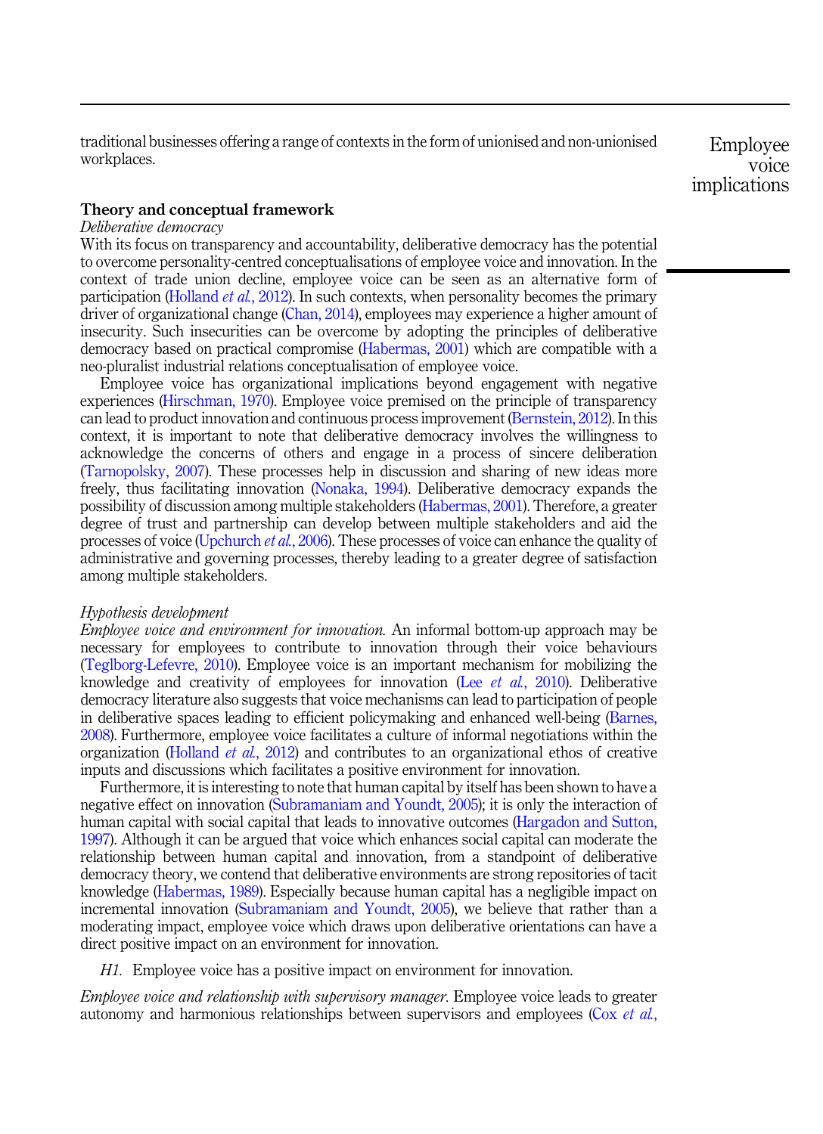traditional businesses offering a range of contexts in the form of unionised and non-unionised workplaces.

Employee voice implications

## Theory and conceptual framework

## *Deliberative democracy*

With its focus on transparency and accountability, deliberative democracy has the potential to overcome personality-centred conceptualisations of employee voice and innovation. In the context of trade union decline, employee voice can be seen as an alternative form of participation (Holland *et al.*, 2012). In such contexts, when personality becomes the primary driver of organizational change (Chan, 2014), employees may experience a higher amount of insecurity. Such insecurities can be overcome by adopting the principles of deliberative democracy based on practical compromise (Habermas, 2001) which are compatible with a neo-pluralist industrial relations conceptualisation of employee voice.

Employee voice has organizational implications beyond engagement with negative experiences (Hirschman, 1970). Employee voice premised on the principle of transparency can lead to product innovation and continuous process improvement (Bernstein, 2012). In this context, it is important to note that deliberative democracy involves the willingness to acknowledge the concerns of others and engage in a process of sincere deliberation (Tarnopolsky, 2007). These processes help in discussion and sharing of new ideas more freely, thus facilitating innovation (Nonaka, 1994). Deliberative democracy expands the possibility of discussion among multiple stakeholders (Habermas, 2001). Therefore, a greater degree of trust and partnership can develop between multiple stakeholders and aid the processes of voice (Upchurch *et al.*, 2006). These processes of voice can enhance the quality of administrative and governing processes, thereby leading to a greater degree of satisfaction among multiple stakeholders.

### *Hypothesis development*

*Employee voice and environment for innovation.* An informal bottom-up approach may be necessary for employees to contribute to innovation through their voice behaviours (Teglborg-Lefevre, 2010). Employee voice is an important mechanism for mobilizing the knowledge and creativity of employees for innovation (Lee *et al.*, 2010). Deliberative democracy literature also suggests that voice mechanisms can lead to participation of people in deliberative spaces leading to efficient policymaking and enhanced well-being (Barnes, 2008). Furthermore, employee voice facilitates a culture of informal negotiations within the organization (Holland *et al.*, 2012) and contributes to an organizational ethos of creative inputs and discussions which facilitates a positive environment for innovation.

Furthermore, it is interesting to note that human capital by itself has been shown to have a negative effect on innovation (Subramaniam and Youndt, 2005); it is only the interaction of human capital with social capital that leads to innovative outcomes (Hargadon and Sutton, 1997). Although it can be argued that voice which enhances social capital can moderate the relationship between human capital and innovation, from a standpoint of deliberative democracy theory, we contend that deliberative environments are strong repositories of tacit knowledge (Habermas, 1989). Especially because human capital has a negligible impact on incremental innovation (Subramaniam and Youndt, 2005), we believe that rather than a moderating impact, employee voice which draws upon deliberative orientations can have a direct positive impact on an environment for innovation.

*H1.* Employee voice has a positive impact on environment for innovation.

*Employee voice and relationship with supervisory manager.* Employee voice leads to greater autonomy and harmonious relationships between supervisors and employees (Cox *et al.*,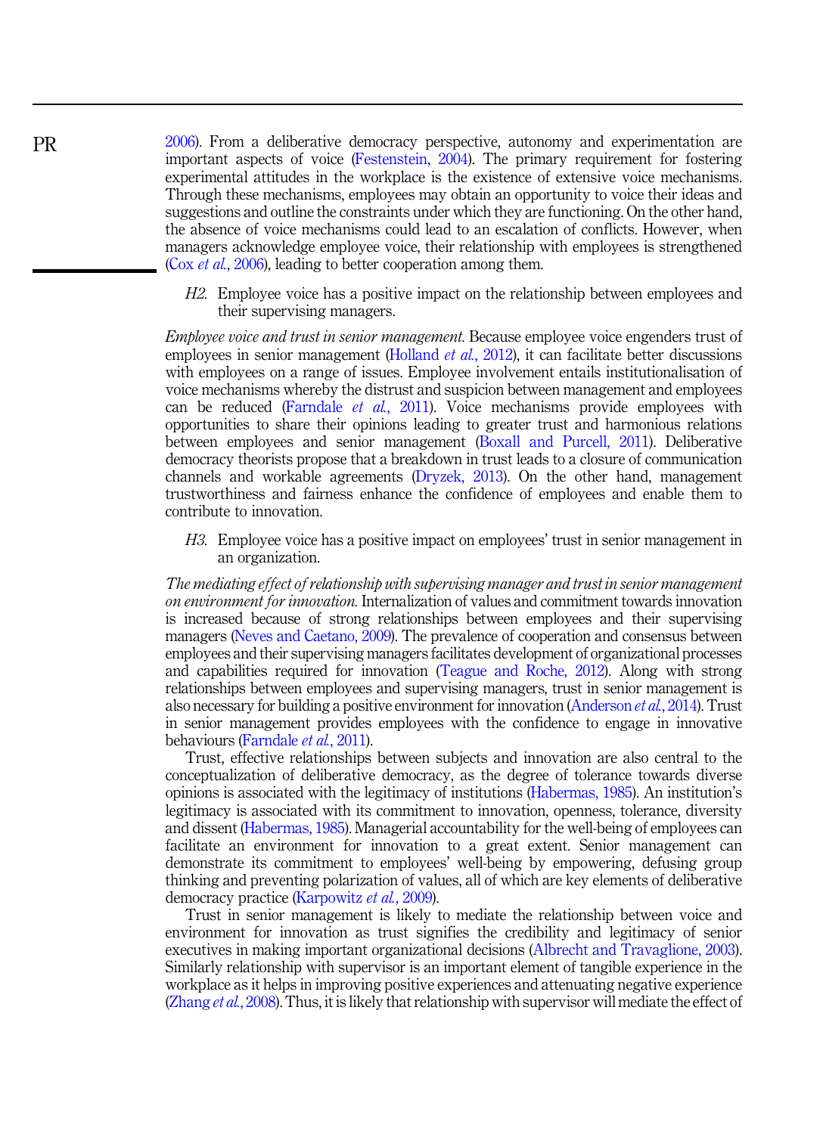2006). From a deliberative democracy perspective, autonomy and experimentation are important aspects of voice (Festenstein, 2004). The primary requirement for fostering experimental attitudes in the workplace is the existence of extensive voice mechanisms. Through these mechanisms, employees may obtain an opportunity to voice their ideas and suggestions and outline the constraints under which they are functioning. On the other hand, the absence of voice mechanisms could lead to an escalation of conflicts. However, when managers acknowledge employee voice, their relationship with employees is strengthened (Cox *et al.*, 2006), leading to better cooperation among them.

*H2.* Employee voice has a positive impact on the relationship between employees and their supervising managers.

*Employee voice and trust in senior management.* Because employee voice engenders trust of employees in senior management (Holland *et al.*, 2012), it can facilitate better discussions with employees on a range of issues. Employee involvement entails institutionalisation of voice mechanisms whereby the distrust and suspicion between management and employees can be reduced (Farndale *et al.*, 2011). Voice mechanisms provide employees with opportunities to share their opinions leading to greater trust and harmonious relations between employees and senior management (Boxall and Purcell, 2011). Deliberative democracy theorists propose that a breakdown in trust leads to a closure of communication channels and workable agreements (Dryzek, 2013). On the other hand, management trustworthiness and fairness enhance the confidence of employees and enable them to contribute to innovation.

*H3.* Employee voice has a positive impact on employees' trust in senior management in an organization.

*The mediating effect of relationship with supervising manager and trust in senior management on environment for innovation.* Internalization of values and commitment towards innovation is increased because of strong relationships between employees and their supervising managers (Neves and Caetano, 2009). The prevalence of cooperation and consensus between employees and their supervising managers facilitates development of organizational processes and capabilities required for innovation (Teague and Roche, 2012). Along with strong relationships between employees and supervising managers, trust in senior management is also necessary for building a positive environment for innovation (Anderson *et al.*, 2014). Trust in senior management provides employees with the confidence to engage in innovative behaviours (Farndale *et al.*, 2011).

Trust, effective relationships between subjects and innovation are also central to the conceptualization of deliberative democracy, as the degree of tolerance towards diverse opinions is associated with the legitimacy of institutions (Habermas, 1985). An institution's legitimacy is associated with its commitment to innovation, openness, tolerance, diversity and dissent (Habermas, 1985). Managerial accountability for the well-being of employees can facilitate an environment for innovation to a great extent. Senior management can demonstrate its commitment to employees' well-being by empowering, defusing group thinking and preventing polarization of values, all of which are key elements of deliberative democracy practice (Karpowitz *et al.*, 2009).

Trust in senior management is likely to mediate the relationship between voice and environment for innovation as trust signifies the credibility and legitimacy of senior executives in making important organizational decisions (Albrecht and Travaglione, 2003). Similarly relationship with supervisor is an important element of tangible experience in the workplace as it helps in improving positive experiences and attenuating negative experience (Zhang *et al.*, 2008). Thus, it is likely that relationship with supervisor will mediate the effect of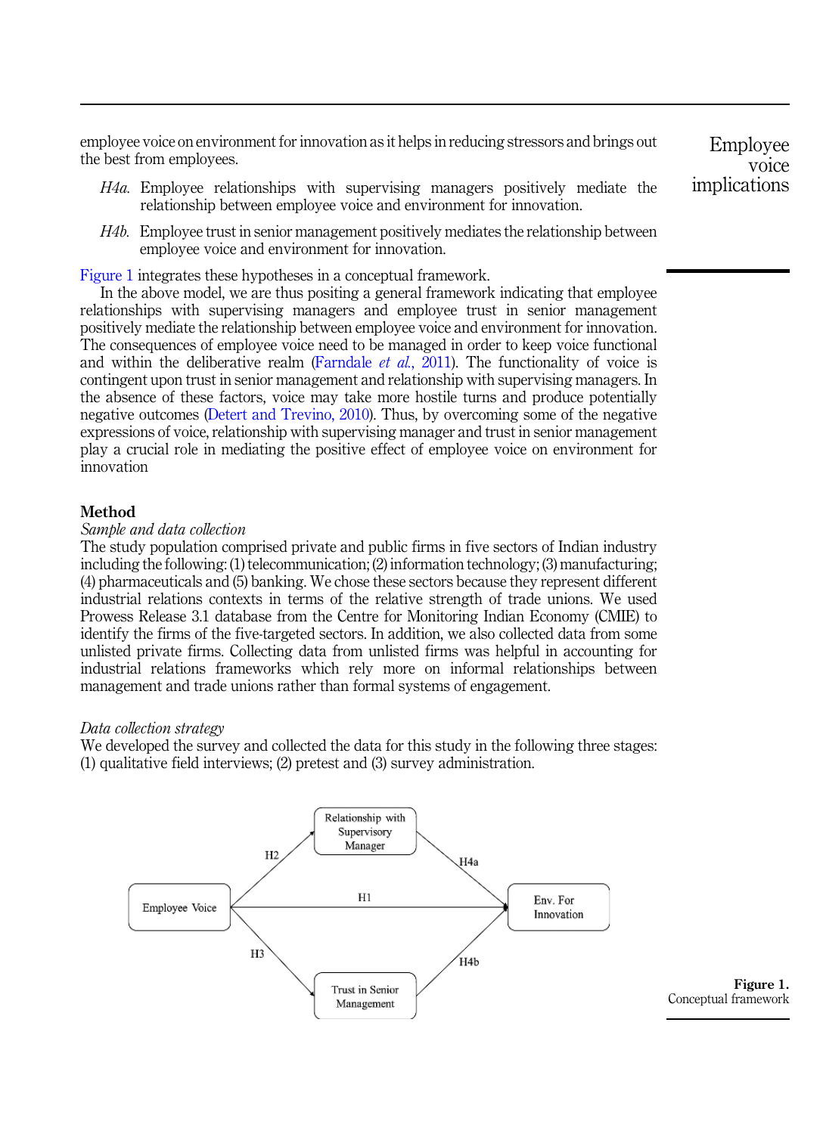employee voice on environment for innovation as it helps in reducing stressors and brings out the best from employees.

- *H4a.* Employee relationships with supervising managers positively mediate the relationship between employee voice and environment for innovation.
- *H4b.* Employee trust in senior management positively mediates the relationship between employee voice and environment for innovation.

Figure 1 integrates these hypotheses in a conceptual framework.

In the above model, we are thus positing a general framework indicating that employee relationships with supervising managers and employee trust in senior management positively mediate the relationship between employee voice and environment for innovation. The consequences of employee voice need to be managed in order to keep voice functional and within the deliberative realm (Farndale  $et$   $al$ ,  $2011$ ). The functionality of voice is contingent upon trust in senior management and relationship with supervising managers. In the absence of these factors, voice may take more hostile turns and produce potentially negative outcomes (Detert and Trevino, 2010). Thus, by overcoming some of the negative expressions of voice, relationship with supervising manager and trust in senior management play a crucial role in mediating the positive effect of employee voice on environment for innovation

### Method

## *Sample and data collection*

The study population comprised private and public firms in five sectors of Indian industry including the following: (1) telecommunication; (2) information technology; (3) manufacturing; (4) pharmaceuticals and (5) banking. We chose these sectors because they represent different industrial relations contexts in terms of the relative strength of trade unions. We used Prowess Release 3.1 database from the Centre for Monitoring Indian Economy (CMIE) to identify the firms of the five-targeted sectors. In addition, we also collected data from some unlisted private firms. Collecting data from unlisted firms was helpful in accounting for industrial relations frameworks which rely more on informal relationships between management and trade unions rather than formal systems of engagement.

### *Data collection strategy*

We developed the survey and collected the data for this study in the following three stages: (1) qualitative field interviews; (2) pretest and (3) survey administration.



Figure 1. Conceptual framework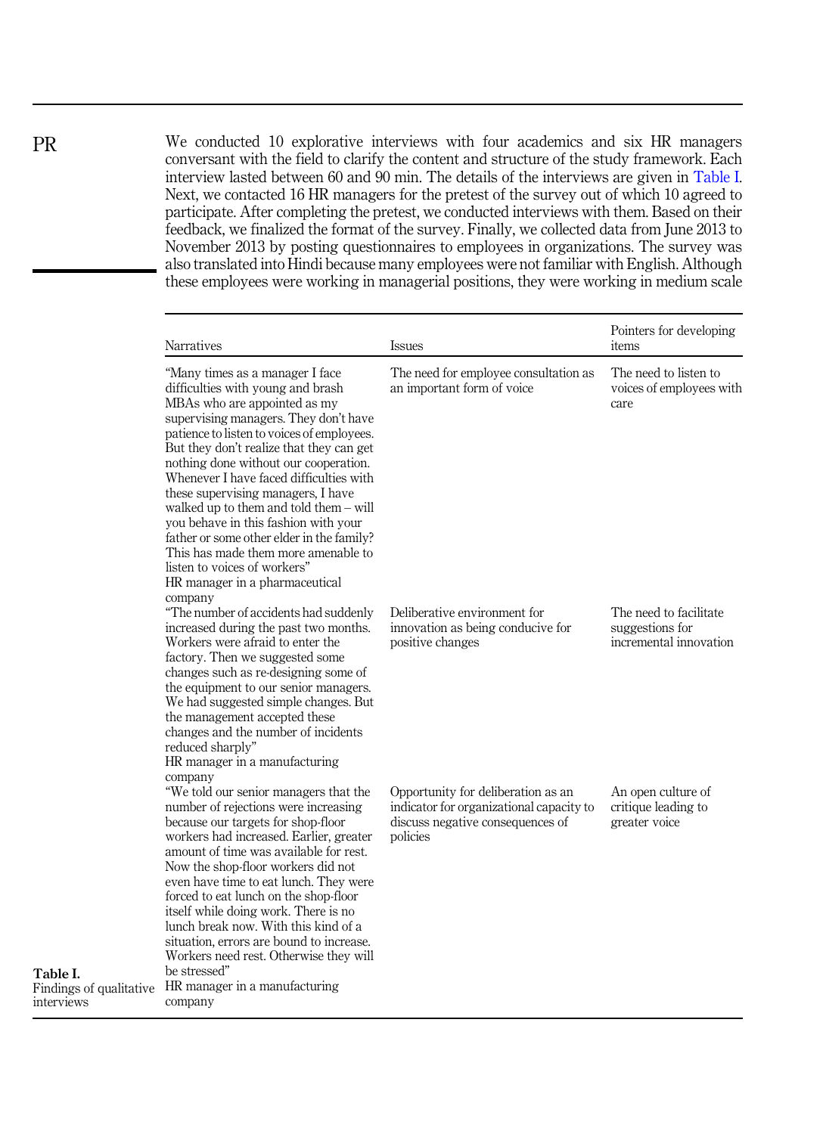We conducted 10 explorative interviews with four academics and six HR managers conversant with the field to clarify the content and structure of the study framework. Each interview lasted between 60 and 90 min. The details of the interviews are given in Table I. Next, we contacted 16 HR managers for the pretest of the survey out of which 10 agreed to participate. After completing the pretest, we conducted interviews with them. Based on their feedback, we finalized the format of the survey. Finally, we collected data from June 2013 to November 2013 by posting questionnaires to employees in organizations. The survey was also translated into Hindi because many employees were not familiar with English. Although these employees were working in managerial positions, they were working in medium scale

|                                                   | Narratives                                                                                                                                                                                                                                                                                                                                                                                                                                                                                                                                                                                                             | <b>Issues</b>                                                                                                                  | Pointers for developing<br>items                                    |  |  |
|---------------------------------------------------|------------------------------------------------------------------------------------------------------------------------------------------------------------------------------------------------------------------------------------------------------------------------------------------------------------------------------------------------------------------------------------------------------------------------------------------------------------------------------------------------------------------------------------------------------------------------------------------------------------------------|--------------------------------------------------------------------------------------------------------------------------------|---------------------------------------------------------------------|--|--|
|                                                   | "Many times as a manager I face<br>difficulties with young and brash<br>MBAs who are appointed as my<br>supervising managers. They don't have<br>patience to listen to voices of employees.<br>But they don't realize that they can get<br>nothing done without our cooperation.<br>Whenever I have faced difficulties with<br>these supervising managers, I have<br>walked up to them and told them $-$ will<br>you behave in this fashion with your<br>father or some other elder in the family?<br>This has made them more amenable to<br>listen to voices of workers"<br>HR manager in a pharmaceutical<br>company | The need for employee consultation as<br>an important form of voice                                                            | The need to listen to<br>voices of employees with<br>care           |  |  |
|                                                   | "The number of accidents had suddenly<br>increased during the past two months.<br>Workers were afraid to enter the<br>factory. Then we suggested some<br>changes such as re-designing some of<br>the equipment to our senior managers.<br>We had suggested simple changes. But<br>the management accepted these<br>changes and the number of incidents<br>reduced sharply"<br>HR manager in a manufacturing<br>company                                                                                                                                                                                                 | Deliberative environment for<br>innovation as being conducive for<br>positive changes                                          | The need to facilitate<br>suggestions for<br>incremental innovation |  |  |
| Table I.<br>Findings of qualitative<br>interviews | "We told our senior managers that the<br>number of rejections were increasing<br>because our targets for shop-floor<br>workers had increased. Earlier, greater<br>amount of time was available for rest.<br>Now the shop-floor workers did not<br>even have time to eat lunch. They were<br>forced to eat lunch on the shop-floor<br>itself while doing work. There is no<br>lunch break now. With this kind of a<br>situation, errors are bound to increase.<br>Workers need rest. Otherwise they will<br>be stressed"<br>HR manager in a manufacturing<br>company                                                    | Opportunity for deliberation as an<br>indicator for organizational capacity to<br>discuss negative consequences of<br>policies | An open culture of<br>critique leading to<br>greater voice          |  |  |

PR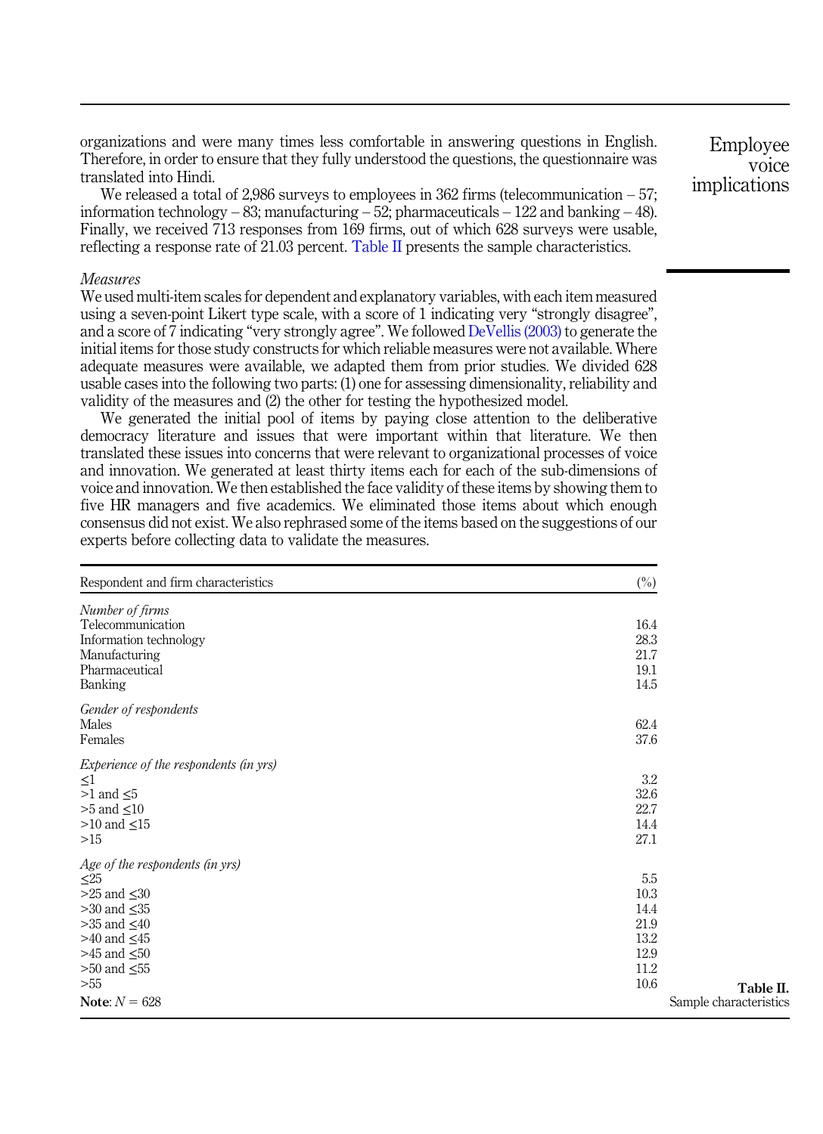organizations and were many times less comfortable in answering questions in English. Therefore, in order to ensure that they fully understood the questions, the questionnaire was translated into Hindi.

We released a total of 2,986 surveys to employees in  $362$  firms (telecommunication  $-57$ ; information technology – 83; manufacturing – 52; pharmaceuticals – 122 and banking – 48). Finally, we received 713 responses from 169 firms, out of which 628 surveys were usable, reflecting a response rate of 21.03 percent. Table II presents the sample characteristics.

#### *Measures*

We used multi-item scales for dependent and explanatory variables, with each item measured using a seven-point Likert type scale, with a score of 1 indicating very "strongly disagree", and a score of 7 indicating "very strongly agree". We followed DeVellis (2003) to generate the initial items for those study constructs for which reliable measures were not available. Where adequate measures were available, we adapted them from prior studies. We divided 628 usable cases into the following two parts: (1) one for assessing dimensionality, reliability and validity of the measures and (2) the other for testing the hypothesized model.

We generated the initial pool of items by paying close attention to the deliberative democracy literature and issues that were important within that literature. We then translated these issues into concerns that were relevant to organizational processes of voice and innovation. We generated at least thirty items each for each of the sub-dimensions of voice and innovation. We then established the face validity of these items by showing them to five HR managers and five academics. We eliminated those items about which enough consensus did not exist. We also rephrased some of the items based on the suggestions of our experts before collecting data to validate the measures.

| Respondent and firm characteristics    | $(\%)$                 |
|----------------------------------------|------------------------|
| Number of firms<br>Telecommunication   | 16.4                   |
| Information technology                 | 28.3                   |
| Manufacturing                          | 21.7                   |
| Pharmaceutical                         | 19.1                   |
| Banking                                | 14.5                   |
| Gender of respondents                  |                        |
| Males                                  | 62.4                   |
| Females                                | 37.6                   |
| Experience of the respondents (in yrs) |                        |
| $\leq$ 1                               | 3.2                    |
| $>1$ and $\leq 5$                      | 32.6                   |
| $>5$ and $\leq 10$                     | 22.7                   |
| $>10$ and $\leq 15$                    | 14.4                   |
| >15                                    | 27.1                   |
| Age of the respondents (in yrs)        |                        |
| $\leq 25$                              | 5.5                    |
| $>25$ and $\leq 30$                    | 10.3                   |
| $>30$ and $\leq 35$                    | 14.4                   |
| $>35$ and $\leq 40$                    | 21.9                   |
| $>40$ and $\leq 45$                    | 13.2                   |
| $>45$ and $\leq 50$                    | 12.9                   |
| $>50$ and $\leq 55$                    | 11.2                   |
| > 55                                   | 10.6<br>Table II.      |
| Note: $N = 628$                        | Sample characteristics |

Employee voice implications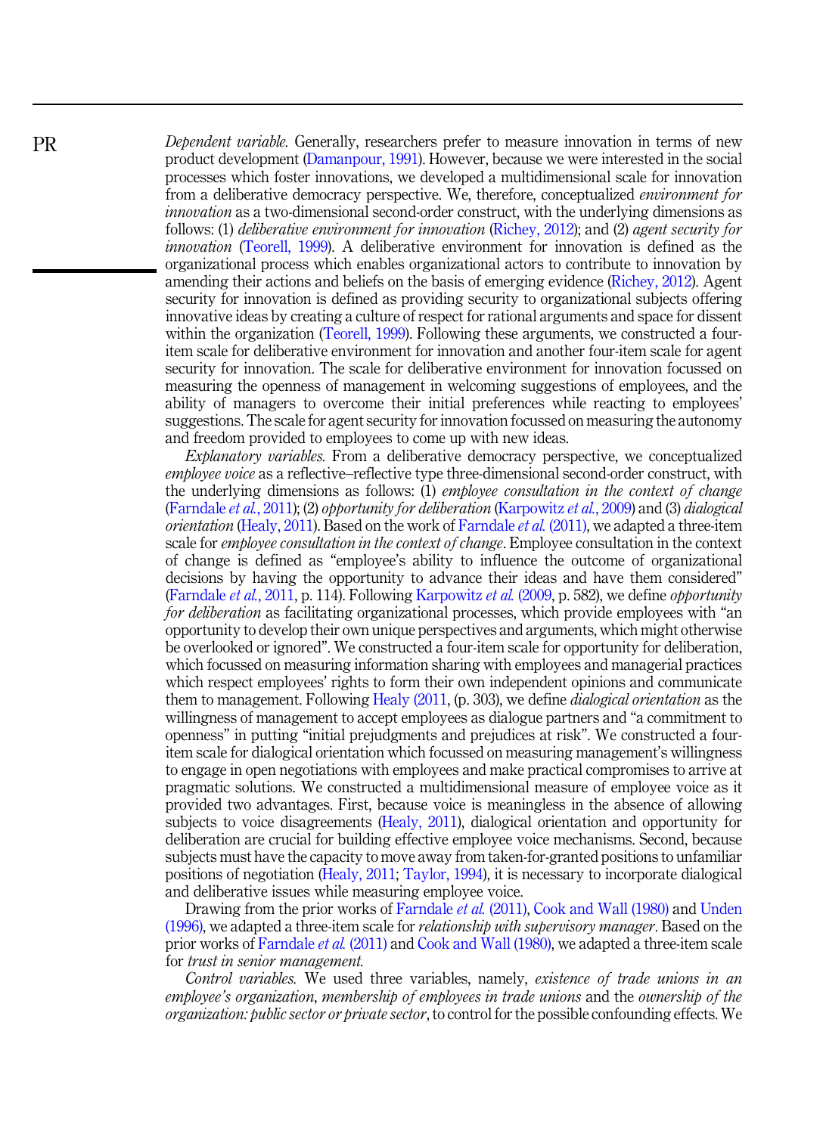*Dependent variable.* Generally, researchers prefer to measure innovation in terms of new product development (Damanpour, 1991). However, because we were interested in the social processes which foster innovations, we developed a multidimensional scale for innovation from a deliberative democracy perspective. We, therefore, conceptualized *environment for innovation* as a two-dimensional second-order construct, with the underlying dimensions as follows: (1) *deliberative environment for innovation* (Richey, 2012); and (2) *agent security for innovation* (Teorell, 1999). A deliberative environment for innovation is defined as the organizational process which enables organizational actors to contribute to innovation by amending their actions and beliefs on the basis of emerging evidence (Richey, 2012). Agent security for innovation is defined as providing security to organizational subjects offering innovative ideas by creating a culture of respect for rational arguments and space for dissent within the organization (Teorell, 1999). Following these arguments, we constructed a fouritem scale for deliberative environment for innovation and another four-item scale for agent security for innovation. The scale for deliberative environment for innovation focussed on measuring the openness of management in welcoming suggestions of employees, and the ability of managers to overcome their initial preferences while reacting to employees' suggestions. The scale for agent security for innovation focussed on measuring the autonomy and freedom provided to employees to come up with new ideas.

*Explanatory variables.* From a deliberative democracy perspective, we conceptualized *employee voice* as a reflective–reflective type three-dimensional second-order construct, with the underlying dimensions as follows: (1) *employee consultation in the context of change* (Farndale *et al.*, 2011); (2) *opportunity for deliberation* (Karpowitz *et al.*, 2009) and (3) *dialogical orientation* (Healy, 2011). Based on the work of Farndale *et al.* (2011), we adapted a three-item scale for *employee consultation in the context of change*. Employee consultation in the context of change is defined as "employee's ability to influence the outcome of organizational decisions by having the opportunity to advance their ideas and have them considered" (Farndale *et al.*, 2011, p. 114). Following Karpowitz *et al.* (2009, p. 582), we define *opportunity for deliberation* as facilitating organizational processes, which provide employees with "an opportunity to develop their own unique perspectives and arguments, which might otherwise be overlooked or ignored". We constructed a four-item scale for opportunity for deliberation, which focussed on measuring information sharing with employees and managerial practices which respect employees' rights to form their own independent opinions and communicate them to management. Following Healy (2011, (p. 303), we define *dialogical orientation* as the willingness of management to accept employees as dialogue partners and "a commitment to openness" in putting "initial prejudgments and prejudices at risk". We constructed a fouritem scale for dialogical orientation which focussed on measuring management's willingness to engage in open negotiations with employees and make practical compromises to arrive at pragmatic solutions. We constructed a multidimensional measure of employee voice as it provided two advantages. First, because voice is meaningless in the absence of allowing subjects to voice disagreements (Healy, 2011), dialogical orientation and opportunity for deliberation are crucial for building effective employee voice mechanisms. Second, because subjects must have the capacity to move away from taken-for-granted positions to unfamiliar positions of negotiation (Healy, 2011; Taylor, 1994), it is necessary to incorporate dialogical and deliberative issues while measuring employee voice.

Drawing from the prior works of Farndale *et al.* (2011), Cook and Wall (1980) and Unden (1996), we adapted a three-item scale for *relationship with supervisory manager*. Based on the prior works of Farndale *et al.* (2011) and Cook and Wall (1980), we adapted a three-item scale for *trust in senior management.*

*Control variables.* We used three variables, namely, *existence of trade unions in an employee*'*s organization*, *membership of employees in trade unions* and the *ownership of the organization: public sector or private sector*, to control for the possible confounding effects. We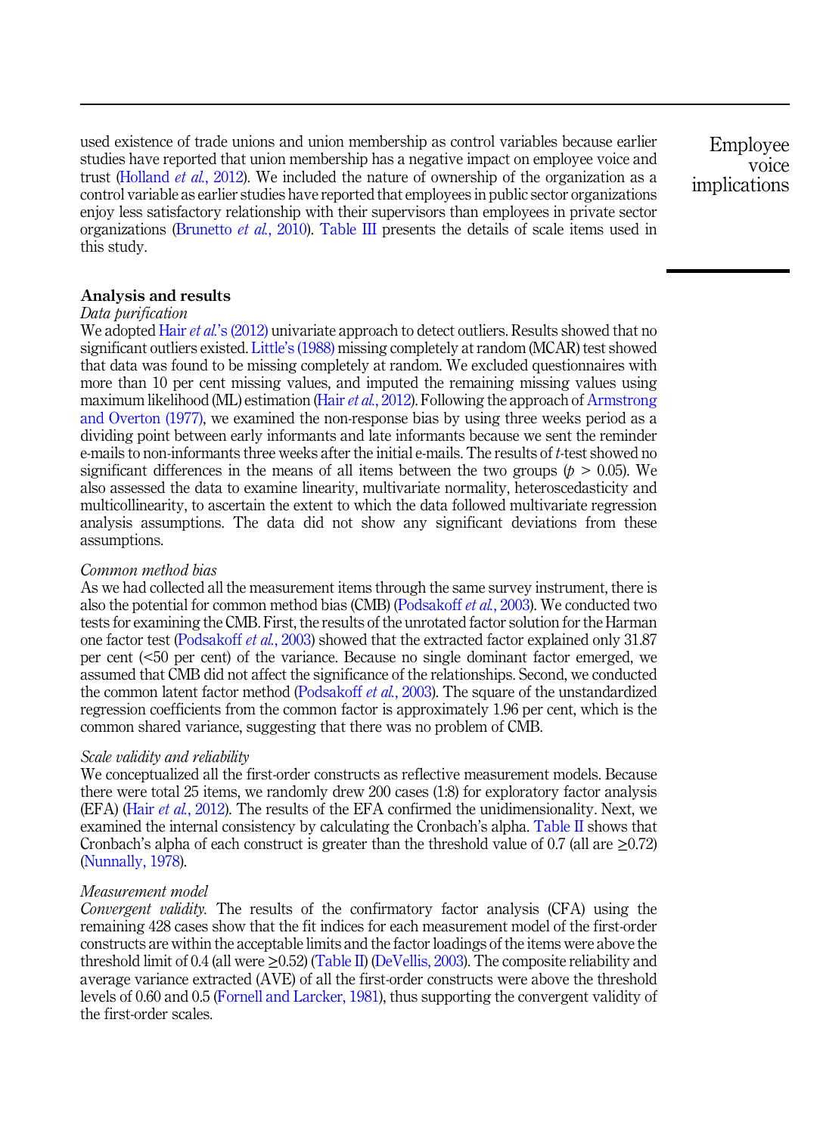used existence of trade unions and union membership as control variables because earlier studies have reported that union membership has a negative impact on employee voice and trust (Holland *et al.*, 2012). We included the nature of ownership of the organization as a control variable as earlier studies have reported that employees in public sector organizations enjoy less satisfactory relationship with their supervisors than employees in private sector organizations (Brunetto *et al.*, 2010). Table III presents the details of scale items used in this study.

Employee voice implications

## Analysis and results

## *Data purification*

We adopted Hair *et al.*'s (2012) univariate approach to detect outliers. Results showed that no significant outliers existed. Little's (1988) missing completely at random (MCAR) test showed that data was found to be missing completely at random. We excluded questionnaires with more than 10 per cent missing values, and imputed the remaining missing values using maximum likelihood (ML) estimation (Hair*et al.*, 2012). Following the approach of Armstrong and Overton (1977), we examined the non-response bias by using three weeks period as a dividing point between early informants and late informants because we sent the reminder e-mails to non-informants three weeks after the initial e-mails. The results of *t*-test showed no significant differences in the means of all items between the two groups ( $p > 0.05$ ). We also assessed the data to examine linearity, multivariate normality, heteroscedasticity and multicollinearity, to ascertain the extent to which the data followed multivariate regression analysis assumptions. The data did not show any significant deviations from these assumptions.

## *Common method bias*

As we had collected all the measurement items through the same survey instrument, there is also the potential for common method bias (CMB) (Podsakoff *et al.*, 2003). We conducted two tests for examining the CMB. First, the results of the unrotated factor solution for the Harman one factor test (Podsakoff *et al.*, 2003) showed that the extracted factor explained only 31.87 per cent (<50 per cent) of the variance. Because no single dominant factor emerged, we assumed that CMB did not affect the significance of the relationships. Second, we conducted the common latent factor method (Podsakoff *et al.*, 2003). The square of the unstandardized regression coefficients from the common factor is approximately 1.96 per cent, which is the common shared variance, suggesting that there was no problem of CMB.

#### *Scale validity and reliability*

We conceptualized all the first-order constructs as reflective measurement models. Because there were total 25 items, we randomly drew 200 cases (1:8) for exploratory factor analysis (EFA) (Hair *et al.*, 2012). The results of the EFA confirmed the unidimensionality. Next, we examined the internal consistency by calculating the Cronbach's alpha. Table II shows that Cronbach's alpha of each construct is greater than the threshold value of  $0.7$  (all are  $>0.72$ ) (Nunnally, 1978).

#### *Measurement model*

*Convergent validity.* The results of the confirmatory factor analysis (CFA) using the remaining 428 cases show that the fit indices for each measurement model of the first-order constructs are within the acceptable limits and the factor loadings of the items were above the threshold limit of 0.4 (all were  $\geq$ 0.52) (Table II) (DeVellis, 2003). The composite reliability and average variance extracted (AVE) of all the first-order constructs were above the threshold levels of 0.60 and 0.5 (Fornell and Larcker, 1981), thus supporting the convergent validity of the first-order scales.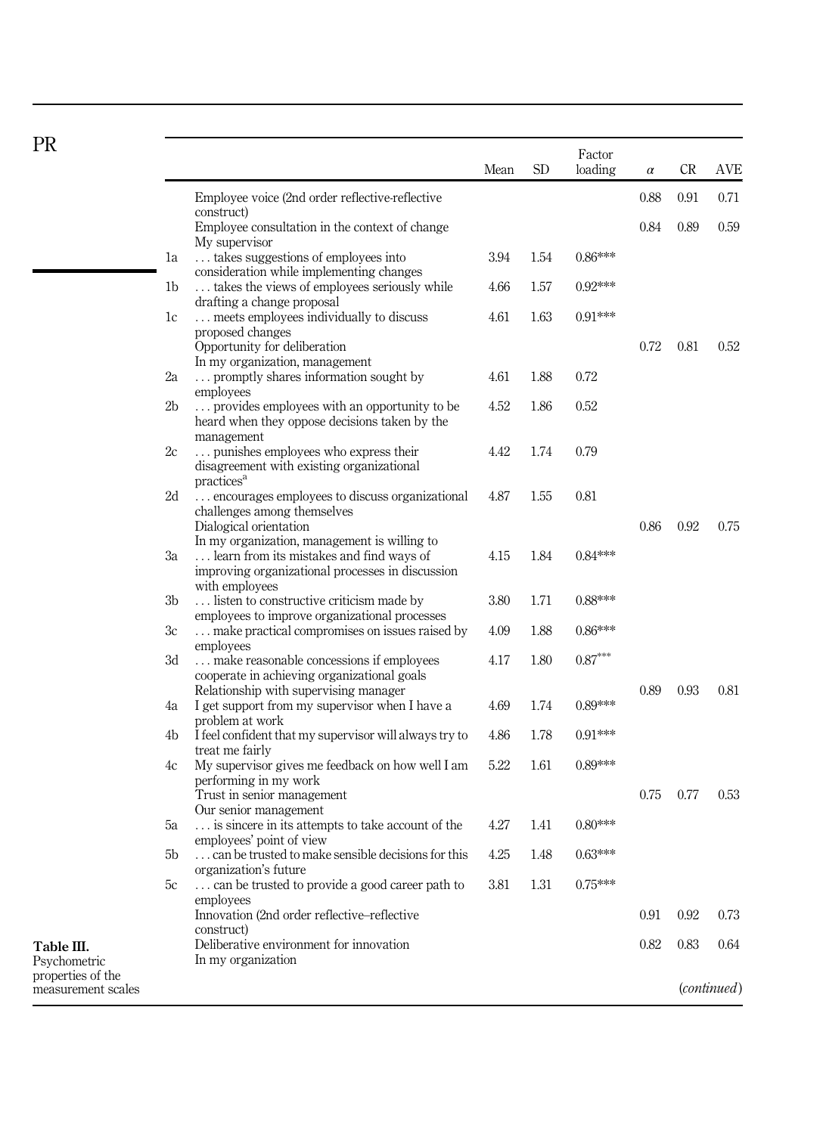| <b>PR</b>                               |                |                                                                                                                                                                        | Mean | <b>SD</b> | Factor<br>loading | $\alpha$ | CR   | <b>AVE</b>           |
|-----------------------------------------|----------------|------------------------------------------------------------------------------------------------------------------------------------------------------------------------|------|-----------|-------------------|----------|------|----------------------|
|                                         |                | Employee voice (2nd order reflective-reflective                                                                                                                        |      |           |                   | 0.88     | 0.91 | 0.71                 |
|                                         |                | construct)<br>Employee consultation in the context of change                                                                                                           |      |           |                   | 0.84     | 0.89 | 0.59                 |
|                                         | 1a             | My supervisor<br>takes suggestions of employees into                                                                                                                   | 3.94 | 1.54      | $0.86***$         |          |      |                      |
|                                         | 1 <sub>b</sub> | consideration while implementing changes<br>takes the views of employees seriously while                                                                               | 4.66 | 1.57      | $0.92***$         |          |      |                      |
|                                         | 1c             | drafting a change proposal<br>meets employees individually to discuss<br>proposed changes                                                                              | 4.61 | 1.63      | $0.91***$         |          |      |                      |
|                                         |                | Opportunity for deliberation<br>In my organization, management                                                                                                         |      |           |                   | 0.72     | 0.81 | 0.52                 |
|                                         | 2a             | promptly shares information sought by<br>employees                                                                                                                     | 4.61 | 1.88      | 0.72              |          |      |                      |
|                                         | 2 <sub>b</sub> | provides employees with an opportunity to be<br>heard when they oppose decisions taken by the                                                                          | 4.52 | 1.86      | 0.52              |          |      |                      |
|                                         | 2c             | management<br>punishes employees who express their<br>disagreement with existing organizational                                                                        | 4.42 | 1.74      | 0.79              |          |      |                      |
|                                         | 2d             | practices <sup>a</sup><br>encourages employees to discuss organizational<br>challenges among themselves                                                                | 4.87 | 1.55      | 0.81              |          |      |                      |
|                                         | Зa             | Dialogical orientation<br>In my organization, management is willing to<br>learn from its mistakes and find ways of<br>improving organizational processes in discussion | 4.15 | 1.84      | $0.84***$         | 0.86     | 0.92 | 0.75                 |
|                                         | 3b             | with employees<br>listen to constructive criticism made by                                                                                                             | 3.80 | 1.71      | $0.88***$         |          |      |                      |
|                                         | Зc             | employees to improve organizational processes<br>make practical compromises on issues raised by                                                                        | 4.09 | 1.88      | $0.86***$         |          |      |                      |
|                                         | 3d             | employees<br>make reasonable concessions if employees<br>cooperate in achieving organizational goals                                                                   | 4.17 | 1.80      | $0.87***$         |          |      |                      |
|                                         | 4a             | Relationship with supervising manager<br>I get support from my supervisor when I have a<br>problem at work                                                             | 4.69 | 1.74      | $0.89***$         | 0.89     | 0.93 | 0.81                 |
|                                         | 4b             | I feel confident that my supervisor will always try to<br>treat me fairly                                                                                              | 4.86 | 1.78      | $0.91***$         |          |      |                      |
|                                         | 4c             | My supervisor gives me feedback on how well I am<br>performing in my work                                                                                              | 5.22 | 1.61      | $0.89***$         |          |      |                      |
|                                         |                | Trust in senior management<br>Our senior management                                                                                                                    |      |           |                   | 0.75     | 0.77 | 0.53                 |
|                                         | 5a             | is sincere in its attempts to take account of the<br>employees' point of view                                                                                          | 4.27 | 1.41      | $0.80***$         |          |      |                      |
|                                         | 5b             | can be trusted to make sensible decisions for this                                                                                                                     | 4.25 | 1.48      | $0.63***$         |          |      |                      |
|                                         | 5c             | organization's future<br>can be trusted to provide a good career path to<br>employees                                                                                  | 3.81 | 1.31      | $0.75***$         |          |      |                      |
|                                         |                | Innovation (2nd order reflective–reflective                                                                                                                            |      |           |                   | 0.91     | 0.92 | 0.73                 |
| Table III.<br>Psychometric              |                | construct)<br>Deliberative environment for innovation<br>In my organization                                                                                            |      |           |                   | 0.82     | 0.83 | 0.64                 |
| properties of the<br>measurement scales |                |                                                                                                                                                                        |      |           |                   |          |      | ( <i>continued</i> ) |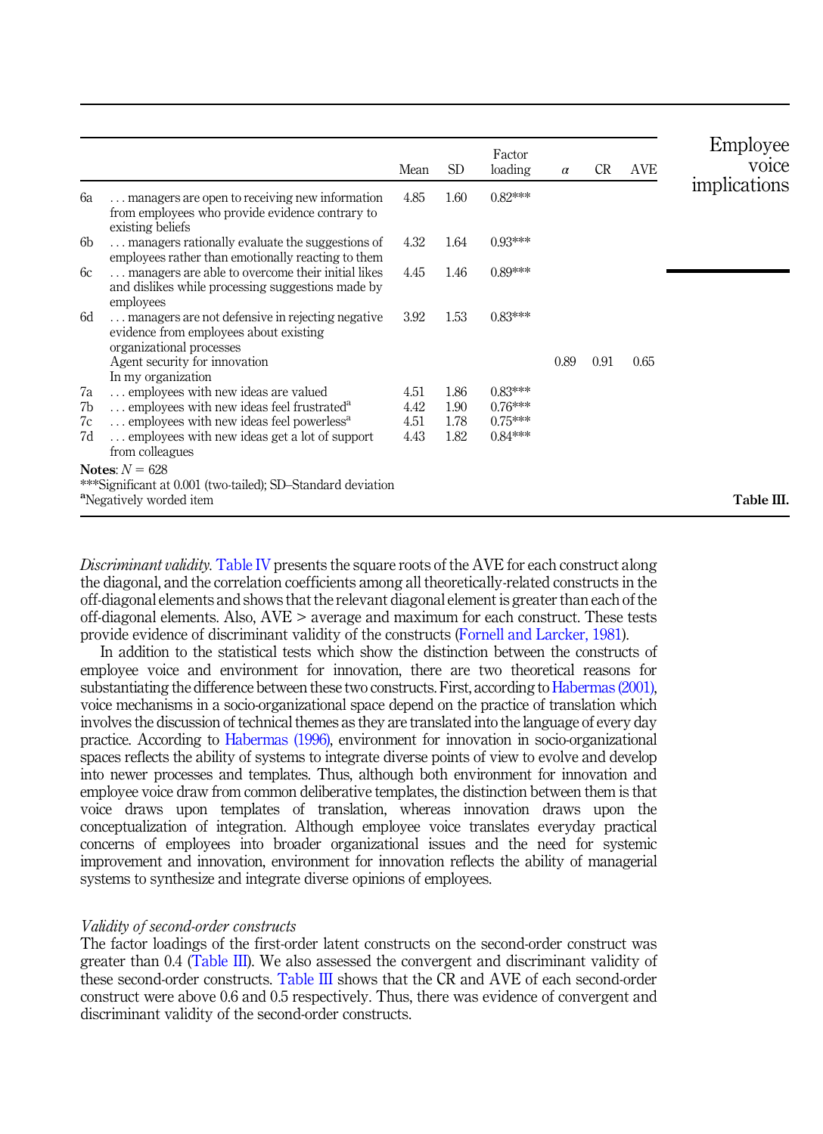|                      |                                                                                                                                                                                                                          | Mean                         | SD <sub>1</sub>              | Factor<br>loading                                | $\alpha$ | <b>CR</b> | AVE  | Employee<br>voice |
|----------------------|--------------------------------------------------------------------------------------------------------------------------------------------------------------------------------------------------------------------------|------------------------------|------------------------------|--------------------------------------------------|----------|-----------|------|-------------------|
| 6a                   | managers are open to receiving new information<br>from employees who provide evidence contrary to<br>existing beliefs                                                                                                    | 4.85                         | 1.60                         | $0.82***$                                        |          |           |      | implications      |
| 6b                   | managers rationally evaluate the suggestions of<br>employees rather than emotionally reacting to them                                                                                                                    | 4.32                         | 1.64                         | $0.93***$                                        |          |           |      |                   |
| 6c                   | managers are able to overcome their initial likes<br>and dislikes while processing suggestions made by<br>employees                                                                                                      | 4.45                         | 1.46                         | $0.89***$                                        |          |           |      |                   |
| 6d                   | managers are not defensive in rejecting negative<br>evidence from employees about existing<br>organizational processes                                                                                                   | 3.92                         | 1.53                         | $0.83***$                                        |          |           |      |                   |
|                      | Agent security for innovation<br>In my organization                                                                                                                                                                      |                              |                              |                                                  | 0.89     | 0.91      | 0.65 |                   |
| 7a<br>7b<br>7c<br>7d | employees with new ideas are valued<br>employees with new ideas feel frustrated <sup>a</sup><br>employees with new ideas feel powerless <sup>a</sup><br>employees with new ideas get a lot of support<br>from colleagues | 4.51<br>4.42<br>4.51<br>4.43 | 1.86<br>1.90<br>1.78<br>1.82 | $0.83***$<br>$0.76***$<br>$0.75***$<br>$0.84***$ |          |           |      |                   |
|                      | Notes: $N = 628$<br>***Significant at 0.001 (two-tailed); SD-Standard deviation                                                                                                                                          |                              |                              |                                                  |          |           |      |                   |
|                      | <sup>a</sup> Negatively worded item                                                                                                                                                                                      |                              |                              |                                                  |          |           |      | Table III.        |

*Discriminant validity.* Table IV presents the square roots of the AVE for each construct along the diagonal, and the correlation coefficients among all theoretically-related constructs in the off-diagonal elements and shows that the relevant diagonal element is greater than each of the off-diagonal elements. Also, AVE > average and maximum for each construct. These tests provide evidence of discriminant validity of the constructs (Fornell and Larcker, 1981).

In addition to the statistical tests which show the distinction between the constructs of employee voice and environment for innovation, there are two theoretical reasons for substantiating the difference between these two constructs. First, according to Habermas (2001), voice mechanisms in a socio-organizational space depend on the practice of translation which involves the discussion of technical themes as they are translated into the language of every day practice. According to Habermas (1996), environment for innovation in socio-organizational spaces reflects the ability of systems to integrate diverse points of view to evolve and develop into newer processes and templates. Thus, although both environment for innovation and employee voice draw from common deliberative templates, the distinction between them is that voice draws upon templates of translation, whereas innovation draws upon the conceptualization of integration. Although employee voice translates everyday practical concerns of employees into broader organizational issues and the need for systemic improvement and innovation, environment for innovation reflects the ability of managerial systems to synthesize and integrate diverse opinions of employees.

#### *Validity of second-order constructs*

The factor loadings of the first-order latent constructs on the second-order construct was greater than 0.4 (Table III). We also assessed the convergent and discriminant validity of these second-order constructs. Table III shows that the CR and AVE of each second-order construct were above 0.6 and 0.5 respectively. Thus, there was evidence of convergent and discriminant validity of the second-order constructs.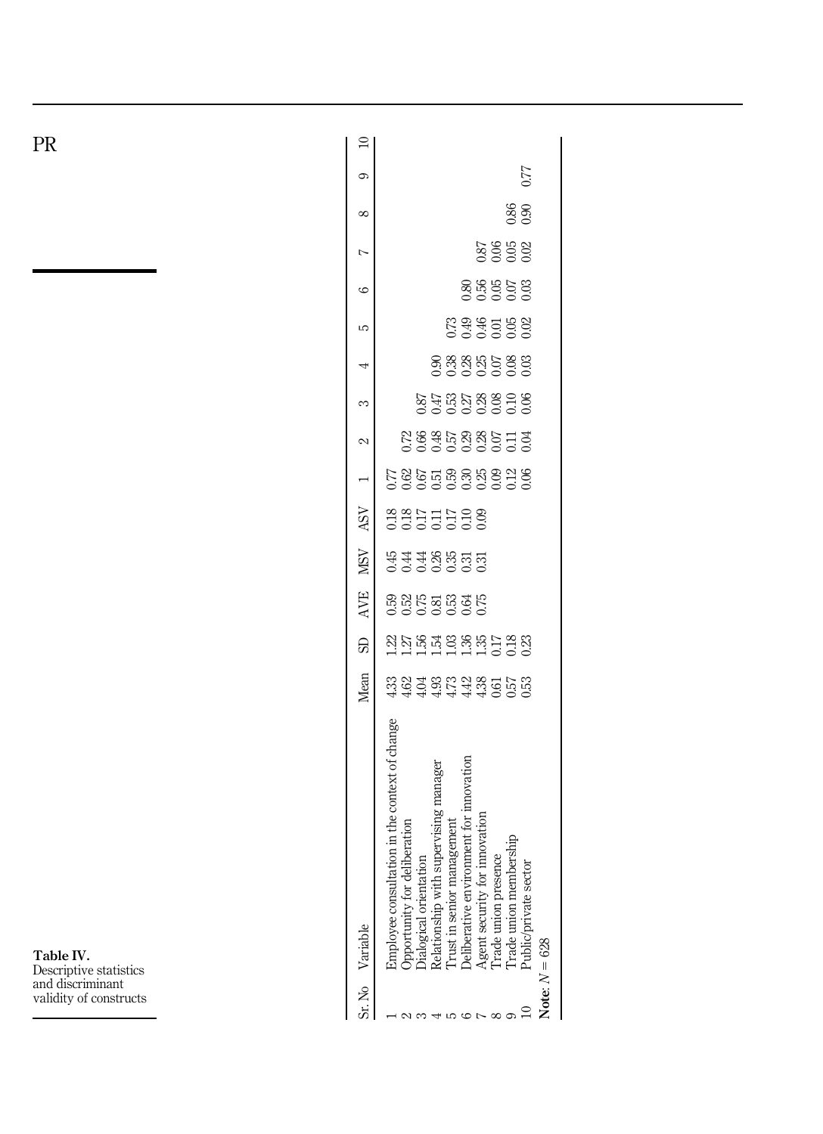PR

 $\supseteq$  $\mathbb{S}_5$  . No  $\mathbb{S}_7$  and  $\mathbb{S}_8$  and  $\mathbb{S}_8$  and  $\mathbb{S}_7$  and  $\mathbb{S}_8$  and  $\mathbb{S}_8$  and  $\mathbb{S}_7$  and  $\mathbb{S}_8$  . The subsequent  $\mathbb{S}_8$  is and  $\mathbb{S}_8$  . The subsequent  $\mathbb{S}_8$  is and  $\mathbb{S}_8$  . The subs  $0.77$ 10 Public/private sector 0.53 0.23 0.06 0.04 0.06 0.03 0.02 0.03 0.02 0.90 0.77  $\circ$ 0.86 9 Trade union membership 0.57 0.18 0.12 0.11 0.10 0.08 0.05 0.07 0.05 0.86  $\infty$ 88888 Agent security for innovation 1.30 0.31 0.35 0.35 0.35 0.31 0.31 0.31 0.325 0.28 0.28 0.325 0.36 0.36 0.56 0.56 8 Trade union presence 0.61 0.17 0.09 0.07 0.08 0.07 0.01 0.05 0.06  $\triangleright$ 886858 6 Deliberative environment for innovation 4.42 1.36 0.64 0.31 0.10 0.30 0.29 0.27 0.28 0.49 0.80  $\circ$ na se e e e<br>Casa e e e e  $57.5$   $0.33$   $0.53$   $0.50$   $0.53$   $0.53$   $0.53$   $0.53$   $0.53$   $0.53$   $0.53$   $0.53$   $0.53$   $0.53$   $0.53$   $0.53$   $0.53$   $0.53$   $0.53$   $0.53$   $0.53$   $0.53$   $0.53$   $0.53$   $0.53$   $0.53$   $0.53$   $0.53$   $0.53$   $0.53$   $0.53$   $0.5$  $\overline{c}$ 4 Relationship with supervising manager 4.93 1.54 0.81 0.26 0.11 0.51 0.48 0.47 0.90 4 875888998 3 Dialogical orientation 4.04 1.56 0.75 0.44 0.17 0.67 0.66 0.87  $\infty$  $28875885773$ 2 Opportunity for deliberation 4.62 1.27 0.52 0.52 0.52 0.44 0.44 0.42 0.72  $\sim$  $585578888228$ 1 Employee consultation in the context of change 4.33 1.22 0.59 0.45 0.18 0.77 ASV 3355538 **NSV** sa 38855 AVE **BBBBBBBB**  $\Omega$ Mean Employee consultation in the context of change Deliberative environment for innovation Relationship with supervising manager Agent security for innovation Trust in senior management Opportunity for deliberation Trade union presence<br>Trade union membership Dialogical orientation Public/private sector Variable 628 Note:  $N =$ Sr. No

Table IV. Descriptive statistics and discriminant validity of constructs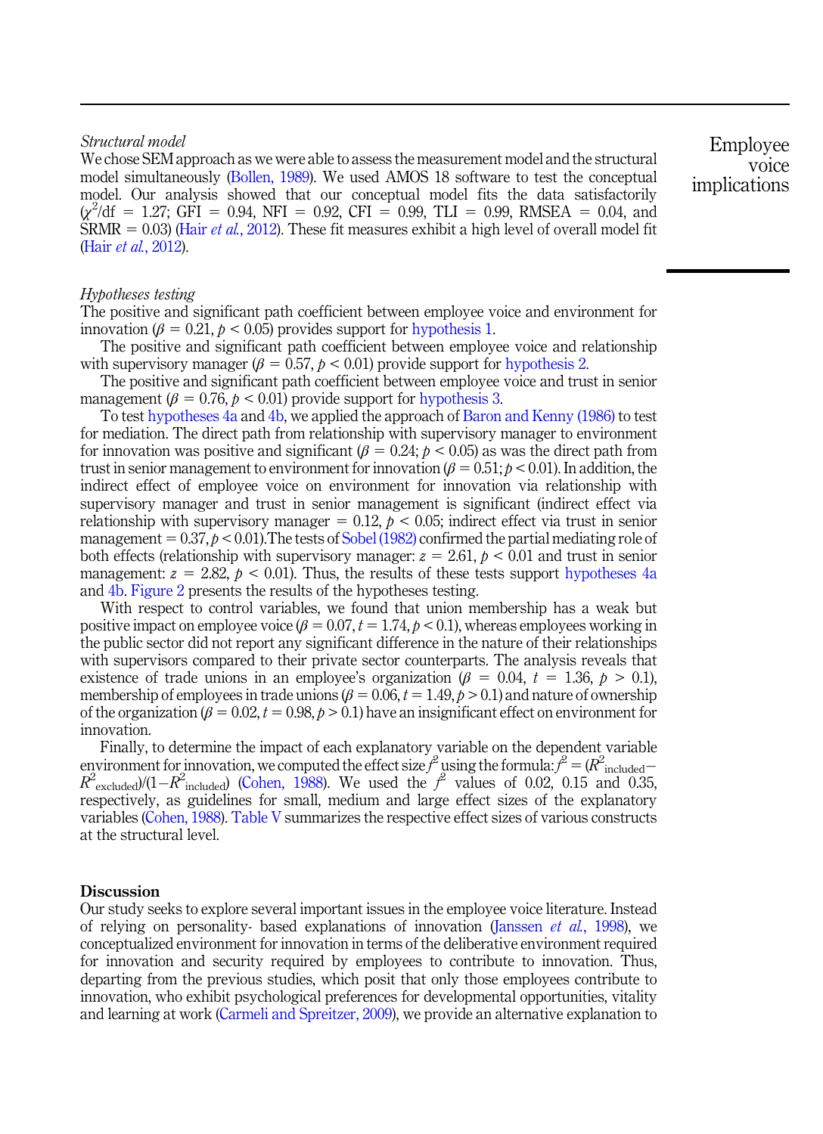## *Structural model*

We chose SEM approach as we were able to assess the measurement model and the structural model simultaneously (Bollen, 1989). We used AMOS 18 software to test the conceptual model. Our analysis showed that our conceptual model fits the data satisfactorily  $\chi^2/df = 1.27$ ; GFI = 0.94, NFI = 0.92, CFI = 0.99, TLI = 0.99, RMSEA = 0.04, and SRMR  $= 0.03$  (Hair *et al.*, 2012). These fit measures exhibit a high level of overall model fit (Hair *et al.*, 2012).

Employee voice implications

## *Hypotheses testing*

The positive and significant path coefficient between employee voice and environment for innovation ( $\beta = 0.21$ ,  $p < 0.05$ ) provides support for hypothesis 1.

The positive and significant path coefficient between employee voice and relationship with supervisory manager ( $\beta = 0.57$ ,  $p < 0.01$ ) provide support for hypothesis 2.

The positive and significant path coefficient between employee voice and trust in senior management ( $\beta = 0.76$ ,  $p < 0.01$ ) provide support for hypothesis 3.

To test hypotheses 4a and 4b, we applied the approach of Baron and Kenny (1986) to test for mediation. The direct path from relationship with supervisory manager to environment for innovation was positive and significant ( $\beta = 0.24$ ;  $p < 0.05$ ) as was the direct path from trust in senior management to environment for innovation ( $\beta = 0.51$ ;  $p < 0.01$ ). In addition, the indirect effect of employee voice on environment for innovation via relationship with supervisory manager and trust in senior management is significant (indirect effect via relationship with supervisory manager  $= 0.12$ ,  $p < 0.05$ ; indirect effect via trust in senior management  $= 0.37, p < 0.01$ . The tests of Sobel (1982) confirmed the partial mediating role of both effects (relationship with supervisory manager:  $z = 2.61$ ,  $p < 0.01$  and trust in senior management:  $z = 2.82$ ,  $p < 0.01$ ). Thus, the results of these tests support hypotheses 4a and 4b. Figure 2 presents the results of the hypotheses testing.

With respect to control variables, we found that union membership has a weak but positive impact on employee voice  $(\beta = 0.07, t = 1.74, p < 0.1)$ , whereas employees working in the public sector did not report any significant difference in the nature of their relationships with supervisors compared to their private sector counterparts. The analysis reveals that existence of trade unions in an employee's organization ( $\beta = 0.04$ ,  $t = 1.36$ ,  $p > 0.1$ ), membership of employees in trade unions ( $\beta = 0.06$ ,  $t = 1.49$ ,  $\rho > 0.1$ ) and nature of ownership of the organization ( $\beta = 0.02$ ,  $t = 0.98$ ,  $p > 0.1$ ) have an insignificant effect on environment for innovation.

Finally, to determine the impact of each explanatory variable on the dependent variable environment for innovation, we computed the effect size  $f^2$  using the formula:  $f^2 = (R^2_{\text{included}} - R^2)$  $R^2$ <sub>excluded</sub>)/(1– $R^2$ <sub>included</sub>) (Cohen, 1988). We used the  $f^2$  values of 0.02, 0.15 and 0.35, respectively, as guidelines for small, medium and large effect sizes of the explanatory variables (Cohen, 1988). Table V summarizes the respective effect sizes of various constructs at the structural level.

#### **Discussion**

Our study seeks to explore several important issues in the employee voice literature. Instead of relying on personality- based explanations of innovation (Janssen *et al.*, 1998), we conceptualized environment for innovation in terms of the deliberative environment required for innovation and security required by employees to contribute to innovation. Thus, departing from the previous studies, which posit that only those employees contribute to innovation, who exhibit psychological preferences for developmental opportunities, vitality and learning at work (Carmeli and Spreitzer, 2009), we provide an alternative explanation to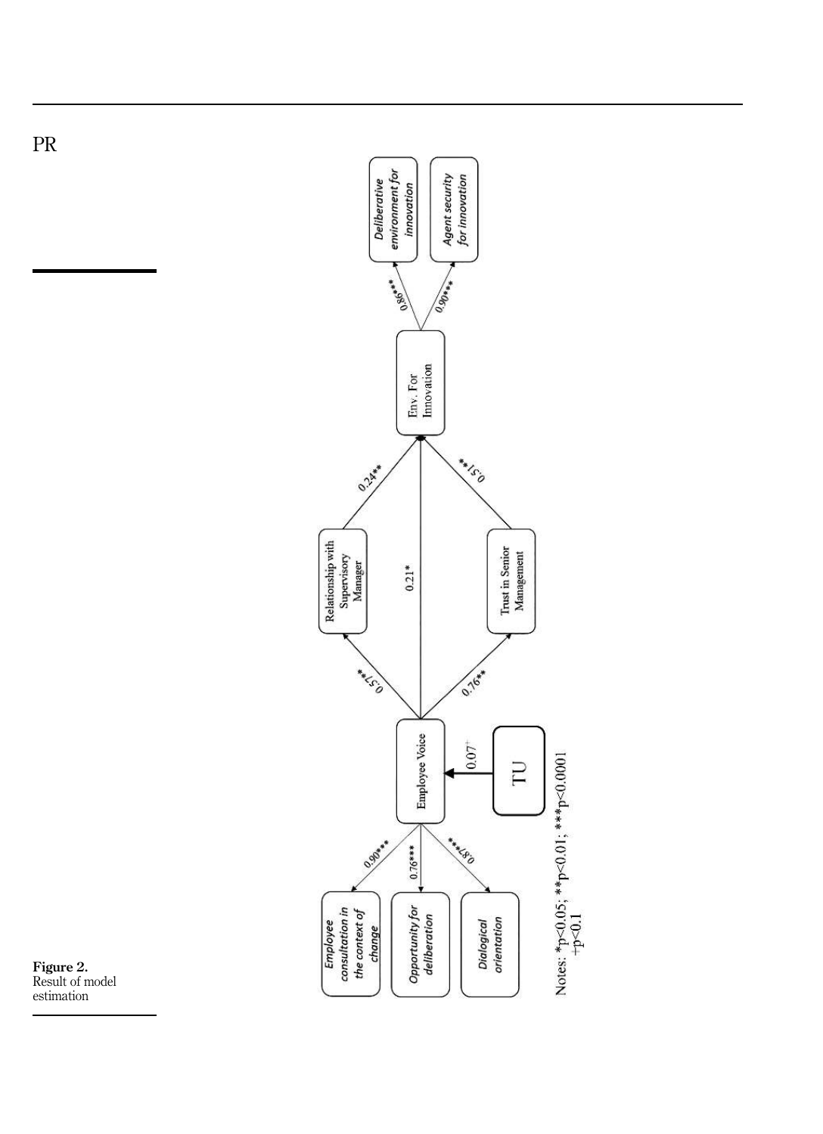



PR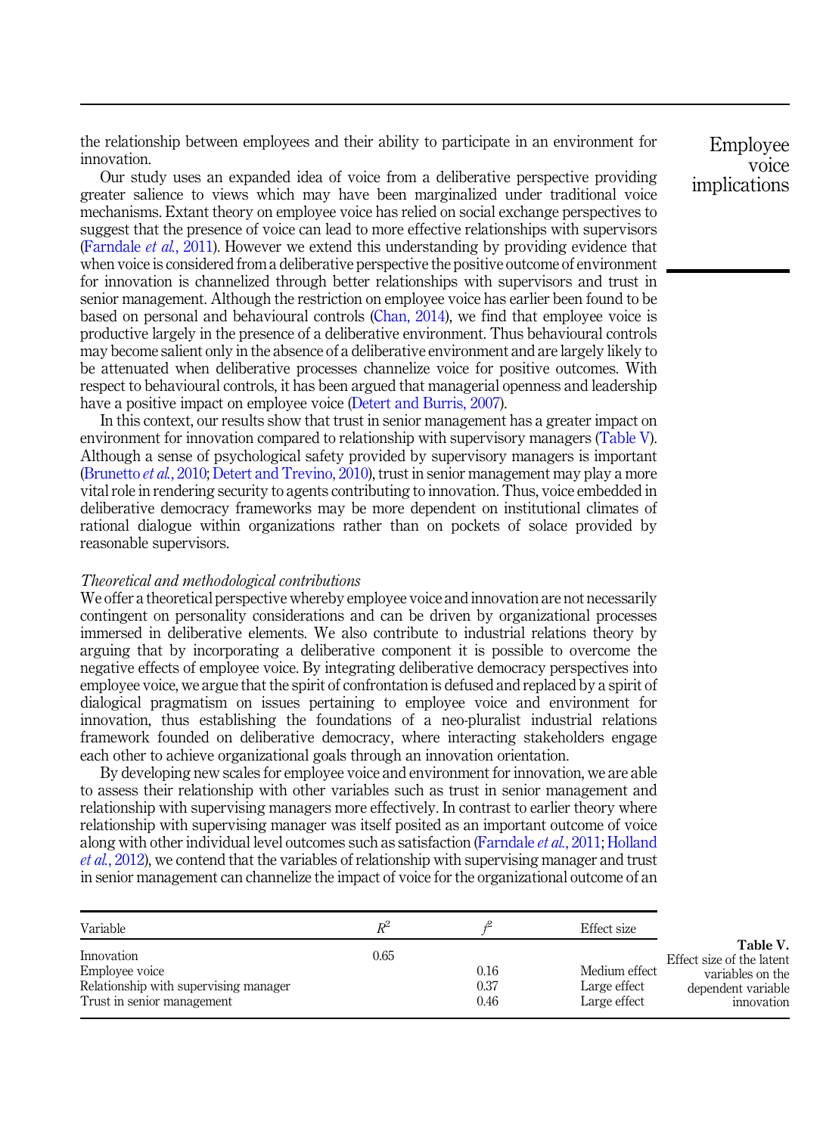the relationship between employees and their ability to participate in an environment for innovation.

Our study uses an expanded idea of voice from a deliberative perspective providing greater salience to views which may have been marginalized under traditional voice mechanisms. Extant theory on employee voice has relied on social exchange perspectives to suggest that the presence of voice can lead to more effective relationships with supervisors (Farndale *et al.*, 2011). However we extend this understanding by providing evidence that when voice is considered from a deliberative perspective the positive outcome of environment for innovation is channelized through better relationships with supervisors and trust in senior management. Although the restriction on employee voice has earlier been found to be based on personal and behavioural controls (Chan, 2014), we find that employee voice is productive largely in the presence of a deliberative environment. Thus behavioural controls may become salient only in the absence of a deliberative environment and are largely likely to be attenuated when deliberative processes channelize voice for positive outcomes. With respect to behavioural controls, it has been argued that managerial openness and leadership have a positive impact on employee voice (Detert and Burris, 2007).

In this context, our results show that trust in senior management has a greater impact on environment for innovation compared to relationship with supervisory managers (Table V). Although a sense of psychological safety provided by supervisory managers is important (Brunetto *et al.*, 2010; Detert and Trevino, 2010), trust in senior management may play a more vital role in rendering security to agents contributing to innovation. Thus, voice embedded in deliberative democracy frameworks may be more dependent on institutional climates of rational dialogue within organizations rather than on pockets of solace provided by reasonable supervisors.

#### *Theoretical and methodological contributions*

We offer a theoretical perspective whereby employee voice and innovation are not necessarily contingent on personality considerations and can be driven by organizational processes immersed in deliberative elements. We also contribute to industrial relations theory by arguing that by incorporating a deliberative component it is possible to overcome the negative effects of employee voice. By integrating deliberative democracy perspectives into employee voice, we argue that the spirit of confrontation is defused and replaced by a spirit of dialogical pragmatism on issues pertaining to employee voice and environment for innovation, thus establishing the foundations of a neo-pluralist industrial relations framework founded on deliberative democracy, where interacting stakeholders engage each other to achieve organizational goals through an innovation orientation.

By developing new scales for employee voice and environment for innovation, we are able to assess their relationship with other variables such as trust in senior management and relationship with supervising managers more effectively. In contrast to earlier theory where relationship with supervising manager was itself posited as an important outcome of voice along with other individual level outcomes such as satisfaction (Farndale *et al.*, 2011; Holland *et al.*, 2012), we contend that the variables of relationship with supervising manager and trust in senior management can channelize the impact of voice for the organizational outcome of an

| Variable                                                                                            | R-   |                      | Effect size                                   |                                                                                               |
|-----------------------------------------------------------------------------------------------------|------|----------------------|-----------------------------------------------|-----------------------------------------------------------------------------------------------|
| Innovation<br>Employee voice<br>Relationship with supervising manager<br>Trust in senior management | 0.65 | 0.16<br>0.37<br>0.46 | Medium effect<br>Large effect<br>Large effect | Table V.<br>Effect size of the latent<br>variables on the<br>dependent variable<br>innovation |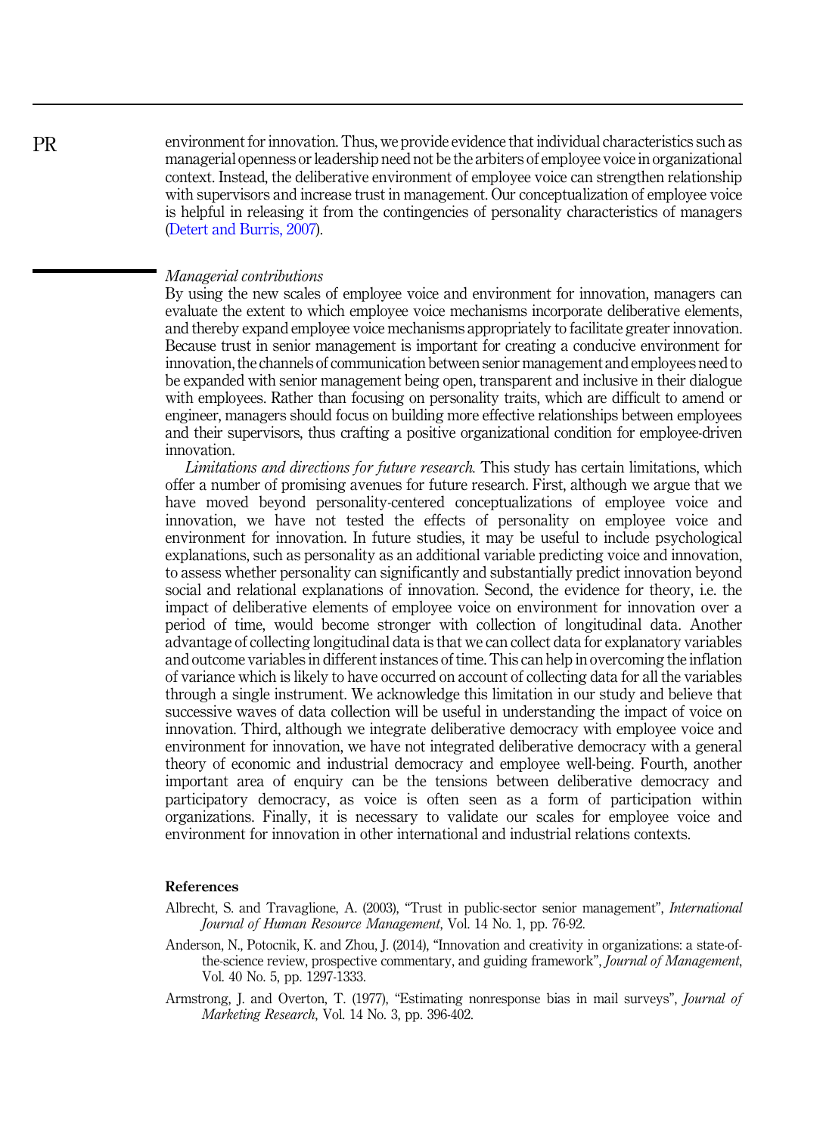environment for innovation. Thus, we provide evidence that individual characteristics such as managerial openness or leadership need not be the arbiters of employee voice in organizational context. Instead, the deliberative environment of employee voice can strengthen relationship with supervisors and increase trust in management. Our conceptualization of employee voice is helpful in releasing it from the contingencies of personality characteristics of managers (Detert and Burris, 2007).

#### *Managerial contributions*

By using the new scales of employee voice and environment for innovation, managers can evaluate the extent to which employee voice mechanisms incorporate deliberative elements, and thereby expand employee voice mechanisms appropriately to facilitate greater innovation. Because trust in senior management is important for creating a conducive environment for innovation, the channels of communication between senior management and employees need to be expanded with senior management being open, transparent and inclusive in their dialogue with employees. Rather than focusing on personality traits, which are difficult to amend or engineer, managers should focus on building more effective relationships between employees and their supervisors, thus crafting a positive organizational condition for employee-driven innovation.

*Limitations and directions for future research.* This study has certain limitations, which offer a number of promising avenues for future research. First, although we argue that we have moved beyond personality-centered conceptualizations of employee voice and innovation, we have not tested the effects of personality on employee voice and environment for innovation. In future studies, it may be useful to include psychological explanations, such as personality as an additional variable predicting voice and innovation, to assess whether personality can significantly and substantially predict innovation beyond social and relational explanations of innovation. Second, the evidence for theory, i.e. the impact of deliberative elements of employee voice on environment for innovation over a period of time, would become stronger with collection of longitudinal data. Another advantage of collecting longitudinal data is that we can collect data for explanatory variables and outcome variables in different instances of time. This can help in overcoming the inflation of variance which is likely to have occurred on account of collecting data for all the variables through a single instrument. We acknowledge this limitation in our study and believe that successive waves of data collection will be useful in understanding the impact of voice on innovation. Third, although we integrate deliberative democracy with employee voice and environment for innovation, we have not integrated deliberative democracy with a general theory of economic and industrial democracy and employee well-being. Fourth, another important area of enquiry can be the tensions between deliberative democracy and participatory democracy, as voice is often seen as a form of participation within organizations. Finally, it is necessary to validate our scales for employee voice and environment for innovation in other international and industrial relations contexts.

#### References

- Albrecht, S. and Travaglione, A. (2003), "Trust in public-sector senior management", *International Journal of Human Resource Management*, Vol. 14 No. 1, pp. 76-92.
- Anderson, N., Potocnik, K. and Zhou, J. (2014), "Innovation and creativity in organizations: a state-ofthe-science review, prospective commentary, and guiding framework", *Journal of Management*, Vol. 40 No. 5, pp. 1297-1333.
- Armstrong, J. and Overton, T. (1977), "Estimating nonresponse bias in mail surveys", *Journal of Marketing Research*, Vol. 14 No. 3, pp. 396-402.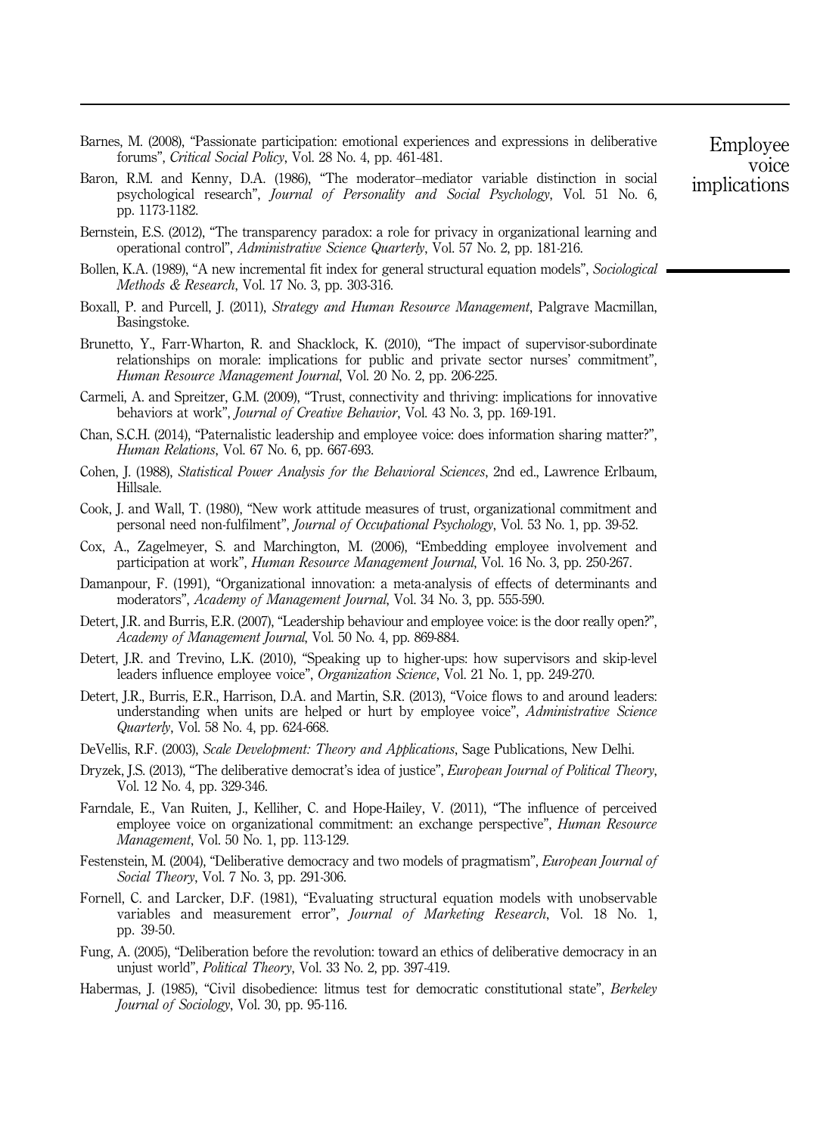- Barnes, M. (2008), "Passionate participation: emotional experiences and expressions in deliberative forums", *Critical Social Policy*, Vol. 28 No. 4, pp. 461-481.
- Baron, R.M. and Kenny, D.A. (1986), "The moderator–mediator variable distinction in social psychological research", *Journal of Personality and Social Psychology*, Vol. 51 No. 6, pp. 1173-1182.
- Bernstein, E.S. (2012), "The transparency paradox: a role for privacy in organizational learning and operational control", *Administrative Science Quarterly*, Vol. 57 No. 2, pp. 181-216.
- Bollen, K.A. (1989), "A new incremental fit index for general structural equation models", *Sociological Methods & Research*, Vol. 17 No. 3, pp. 303-316.
- Boxall, P. and Purcell, J. (2011), *Strategy and Human Resource Management*, Palgrave Macmillan, Basingstoke.
- Brunetto, Y., Farr-Wharton, R. and Shacklock, K. (2010), "The impact of supervisor-subordinate relationships on morale: implications for public and private sector nurses' commitment", *Human Resource Management Journal*, Vol. 20 No. 2, pp. 206-225.
- Carmeli, A. and Spreitzer, G.M. (2009), "Trust, connectivity and thriving: implications for innovative behaviors at work", *Journal of Creative Behavior*, Vol. 43 No. 3, pp. 169-191.
- Chan, S.C.H. (2014), "Paternalistic leadership and employee voice: does information sharing matter?", *Human Relations*, Vol. 67 No. 6, pp. 667-693.
- Cohen, J. (1988), *Statistical Power Analysis for the Behavioral Sciences*, 2nd ed., Lawrence Erlbaum, Hillsale.
- Cook, J. and Wall, T. (1980), "New work attitude measures of trust, organizational commitment and personal need non-fulfilment", *Journal of Occupational Psychology*, Vol. 53 No. 1, pp. 39-52.
- Cox, A., Zagelmeyer, S. and Marchington, M. (2006), "Embedding employee involvement and participation at work", *Human Resource Management Journal*, Vol. 16 No. 3, pp. 250-267.
- Damanpour, F. (1991), "Organizational innovation: a meta-analysis of effects of determinants and moderators", *Academy of Management Journal*, Vol. 34 No. 3, pp. 555-590.
- Detert, J.R. and Burris, E.R. (2007), "Leadership behaviour and employee voice: is the door really open?", *Academy of Management Journal*, Vol. 50 No. 4, pp. 869-884.
- Detert, J.R. and Trevino, L.K. (2010), "Speaking up to higher-ups: how supervisors and skip-level leaders influence employee voice", *Organization Science*, Vol. 21 No. 1, pp. 249-270.
- Detert, J.R., Burris, E.R., Harrison, D.A. and Martin, S.R. (2013), "Voice flows to and around leaders: understanding when units are helped or hurt by employee voice", *Administrative Science Quarterly*, Vol. 58 No. 4, pp. 624-668.
- DeVellis, R.F. (2003), *Scale Development: Theory and Applications*, Sage Publications, New Delhi.
- Dryzek, J.S. (2013), "The deliberative democrat's idea of justice", *European Journal of Political Theory*, Vol. 12 No. 4, pp. 329-346.
- Farndale, E., Van Ruiten, J., Kelliher, C. and Hope-Hailey, V. (2011), "The influence of perceived employee voice on organizational commitment: an exchange perspective", *Human Resource Management*, Vol. 50 No. 1, pp. 113-129.
- Festenstein, M. (2004), "Deliberative democracy and two models of pragmatism", *European Journal of Social Theory*, Vol. 7 No. 3, pp. 291-306.
- Fornell, C. and Larcker, D.F. (1981), "Evaluating structural equation models with unobservable variables and measurement error", *Journal of Marketing Research*, Vol. 18 No. 1, pp. 39-50.
- Fung, A. (2005), "Deliberation before the revolution: toward an ethics of deliberative democracy in an unjust world", *Political Theory*, Vol. 33 No. 2, pp. 397-419.
- Habermas, J. (1985), "Civil disobedience: litmus test for democratic constitutional state", *Berkeley Journal of Sociology*, Vol. 30, pp. 95-116.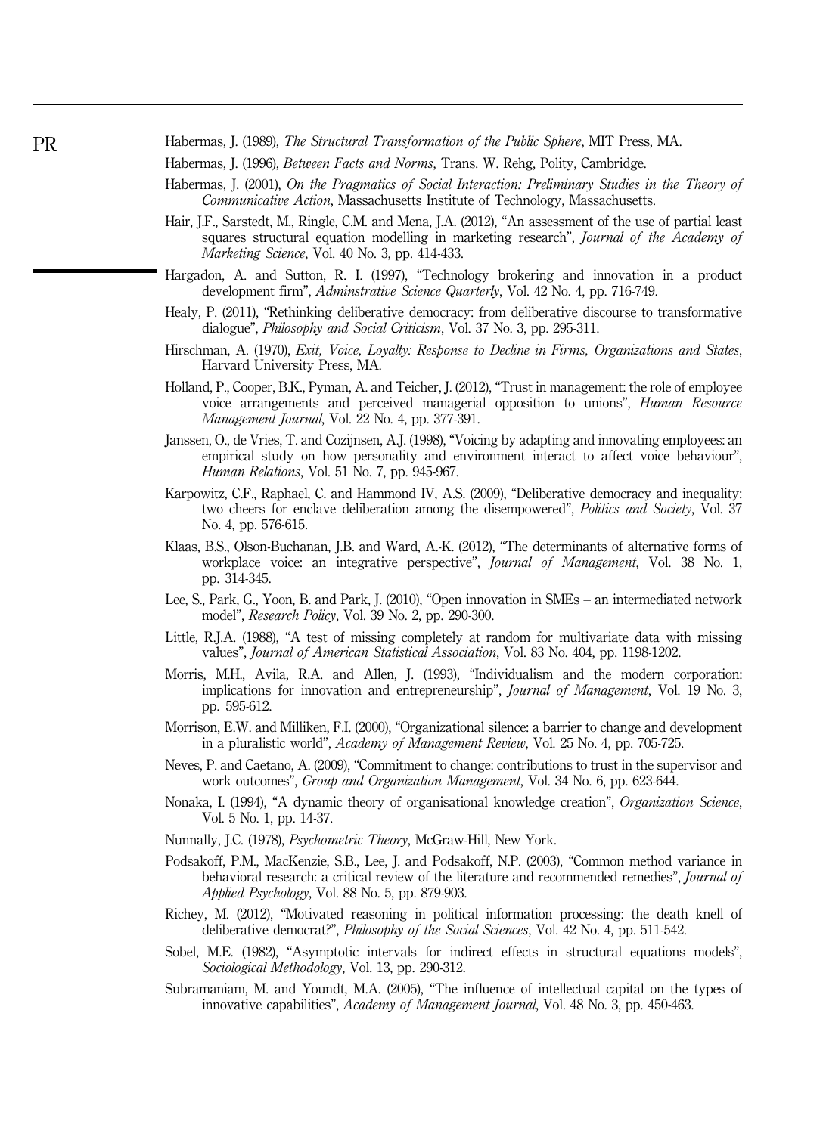- Habermas, J. (1996), *Between Facts and Norms*, Trans. W. Rehg, Polity, Cambridge.
- Habermas, J. (2001), *On the Pragmatics of Social Interaction: Preliminary Studies in the Theory of Communicative Action*, Massachusetts Institute of Technology, Massachusetts.
- Hair, J.F., Sarstedt, M., Ringle, C.M. and Mena, J.A. (2012), "An assessment of the use of partial least squares structural equation modelling in marketing research", *Journal of the Academy of Marketing Science*, Vol. 40 No. 3, pp. 414-433.
- Hargadon, A. and Sutton, R. I. (1997), "Technology brokering and innovation in a product development firm", *Adminstrative Science Quarterly*, Vol. 42 No. 4, pp. 716-749.
- Healy, P. (2011), "Rethinking deliberative democracy: from deliberative discourse to transformative dialogue", *Philosophy and Social Criticism*, Vol. 37 No. 3, pp. 295-311.
- Hirschman, A. (1970), *Exit, Voice, Loyalty: Response to Decline in Firms, Organizations and States*, Harvard University Press, MA.
- Holland, P., Cooper, B.K., Pyman, A. and Teicher, J. (2012), "Trust in management: the role of employee voice arrangements and perceived managerial opposition to unions", *Human Resource Management Journal*, Vol. 22 No. 4, pp. 377-391.
- Janssen, O., de Vries, T. and Cozijnsen, A.J. (1998), "Voicing by adapting and innovating employees: an empirical study on how personality and environment interact to affect voice behaviour", *Human Relations*, Vol. 51 No. 7, pp. 945-967.
- Karpowitz, C.F., Raphael, C. and Hammond IV, A.S. (2009), "Deliberative democracy and inequality: two cheers for enclave deliberation among the disempowered", *Politics and Society*, Vol. 37 No. 4, pp. 576-615.
- Klaas, B.S., Olson-Buchanan, J.B. and Ward, A.-K. (2012), "The determinants of alternative forms of workplace voice: an integrative perspective", *Journal of Management*, Vol. 38 No. 1, pp. 314-345.
- Lee, S., Park, G., Yoon, B. and Park, J. (2010), "Open innovation in SMEs an intermediated network model", *Research Policy*, Vol. 39 No. 2, pp. 290-300.
- Little, R.J.A. (1988), "A test of missing completely at random for multivariate data with missing values", *Journal of American Statistical Association*, Vol. 83 No. 404, pp. 1198-1202.
- Morris, M.H., Avila, R.A. and Allen, J. (1993), "Individualism and the modern corporation: implications for innovation and entrepreneurship", *Journal of Management*, Vol. 19 No. 3, pp. 595-612.
- Morrison, E.W. and Milliken, F.I. (2000), "Organizational silence: a barrier to change and development in a pluralistic world", *Academy of Management Review*, Vol. 25 No. 4, pp. 705-725.
- Neves, P. and Caetano, A. (2009), "Commitment to change: contributions to trust in the supervisor and work outcomes", *Group and Organization Management*, Vol. 34 No. 6, pp. 623-644.
- Nonaka, I. (1994), "A dynamic theory of organisational knowledge creation", *Organization Science*, Vol. 5 No. 1, pp. 14-37.
- Nunnally, J.C. (1978), *Psychometric Theory*, McGraw-Hill, New York.
- Podsakoff, P.M., MacKenzie, S.B., Lee, J. and Podsakoff, N.P. (2003), "Common method variance in behavioral research: a critical review of the literature and recommended remedies", *Journal of Applied Psychology*, Vol. 88 No. 5, pp. 879-903.
- Richey, M. (2012), "Motivated reasoning in political information processing: the death knell of deliberative democrat?", *Philosophy of the Social Sciences*, Vol. 42 No. 4, pp. 511-542.
- Sobel, M.E. (1982), "Asymptotic intervals for indirect effects in structural equations models", *Sociological Methodology*, Vol. 13, pp. 290-312.
- Subramaniam, M. and Youndt, M.A. (2005), "The influence of intellectual capital on the types of innovative capabilities", *Academy of Management Journal*, Vol. 48 No. 3, pp. 450-463.

Habermas, J. (1989), *The Structural Transformation of the Public Sphere*, MIT Press, MA.